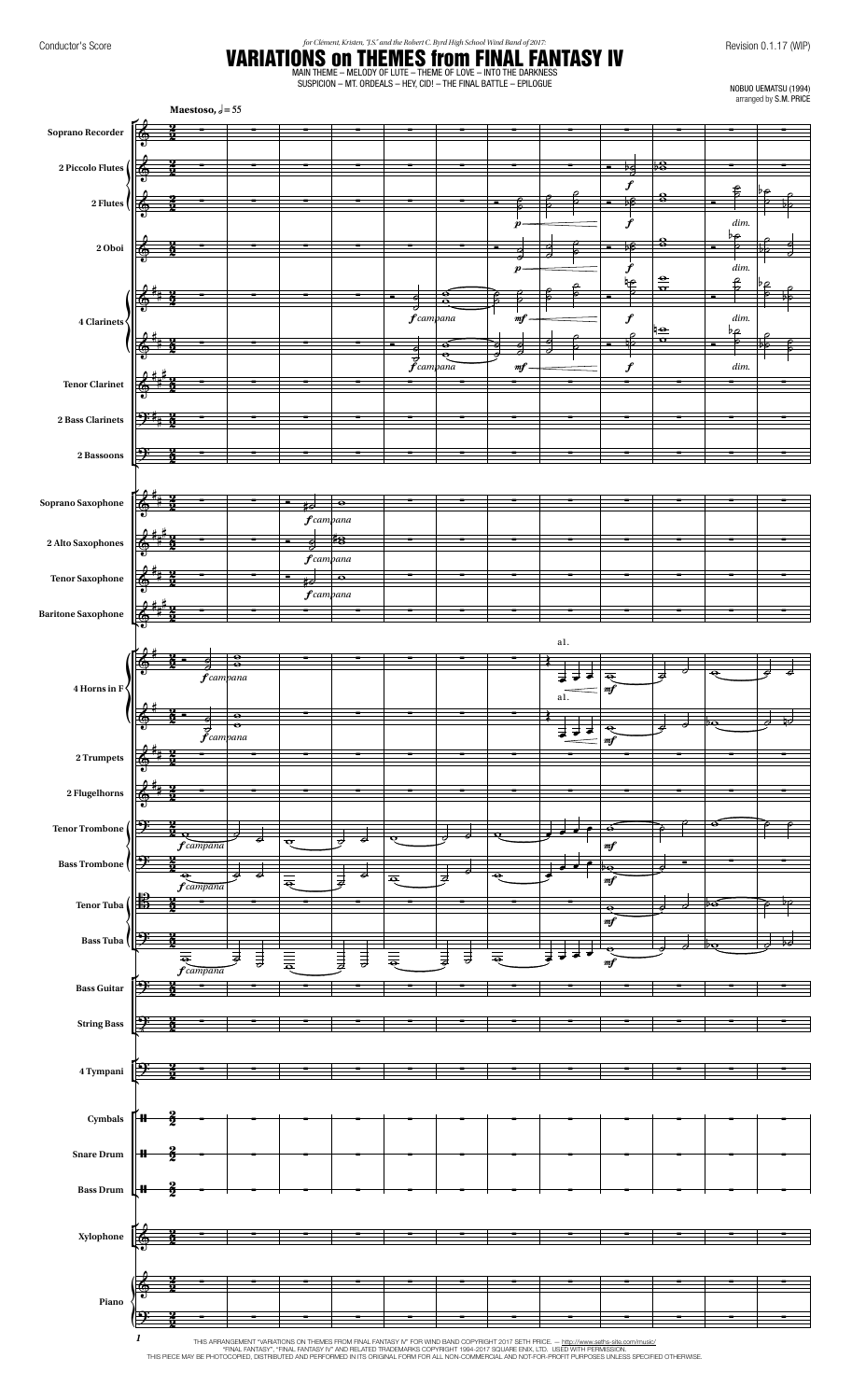# Conductor's Score **Examples Conductor's Score**<br> **VARIATIONS ON THEMES from FINAL FANTASY IV**<br>
MAIN THEME – MELODY OF LUTE – THEME OF LOVE – INTO THE DARKNESS for Clément, Kristen, "J.S." and the Robert C. Byrd High School Wind Band of 2017:

SUSPICION – MT. ORDEALS – HEY, CID! – THE FINAL BATTLE – EPILOGUE

NOBUO UEMATSU (1994) arranged by S.M. PRICE



THIS ARRANGEMENT "VARIATIONS ON THEMES FROM FINAL FANTASY IV" FOR WIND BAND COPYRIGHT 2017 SETH PRICE. — <u>http://www.seths-site.com/music/</u><br>FINS PIECE MAY BE PHOLLER FANTASY IV" AND RELATED TRADEMARKS COPYRIGHT 1994-2017 S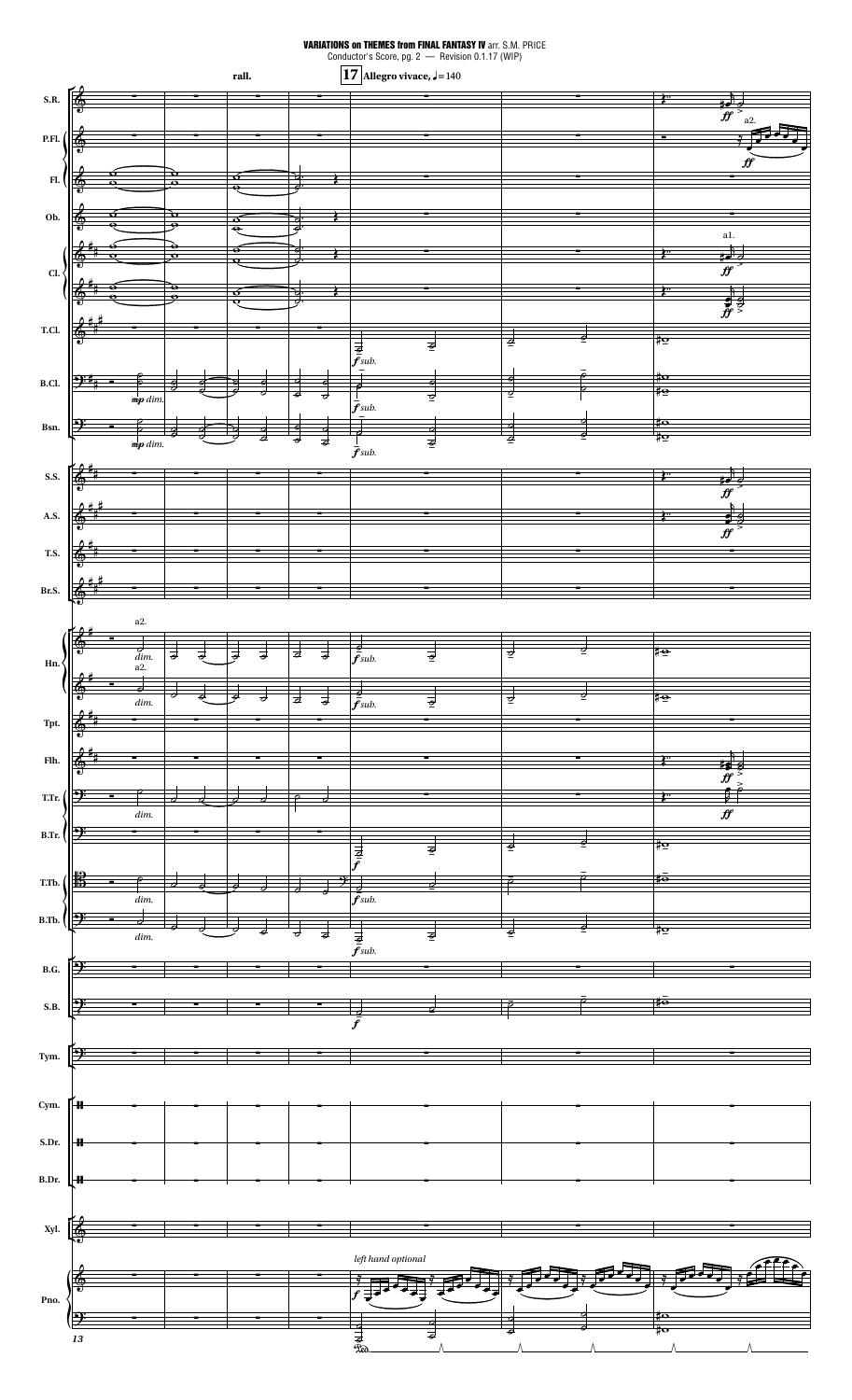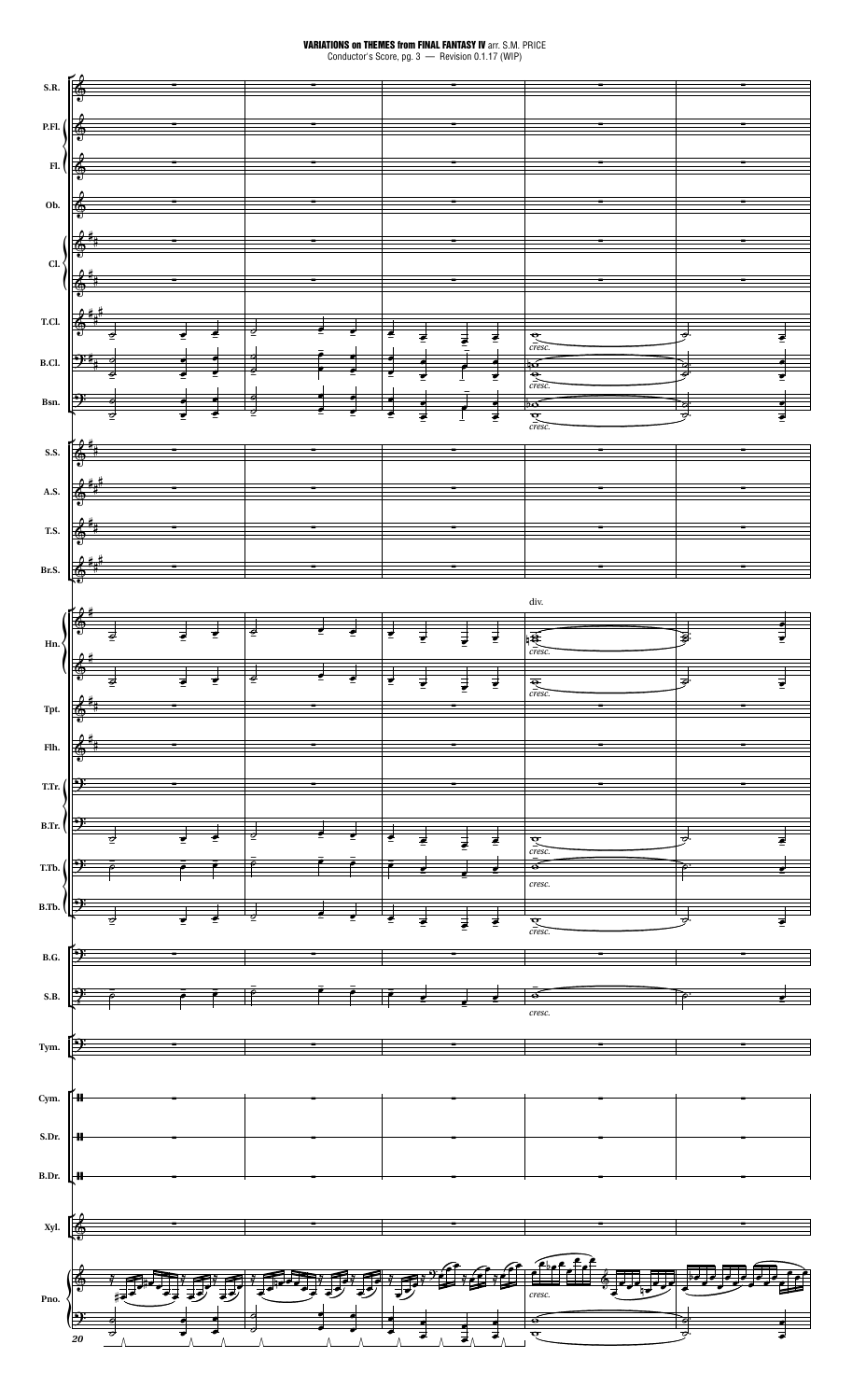# VARIATIONS on THEMES from FINAL FANTASY IV arr. S.M. PRICE Conductor's Score, pg. 3 — Revision 0.1.17 (WIP)

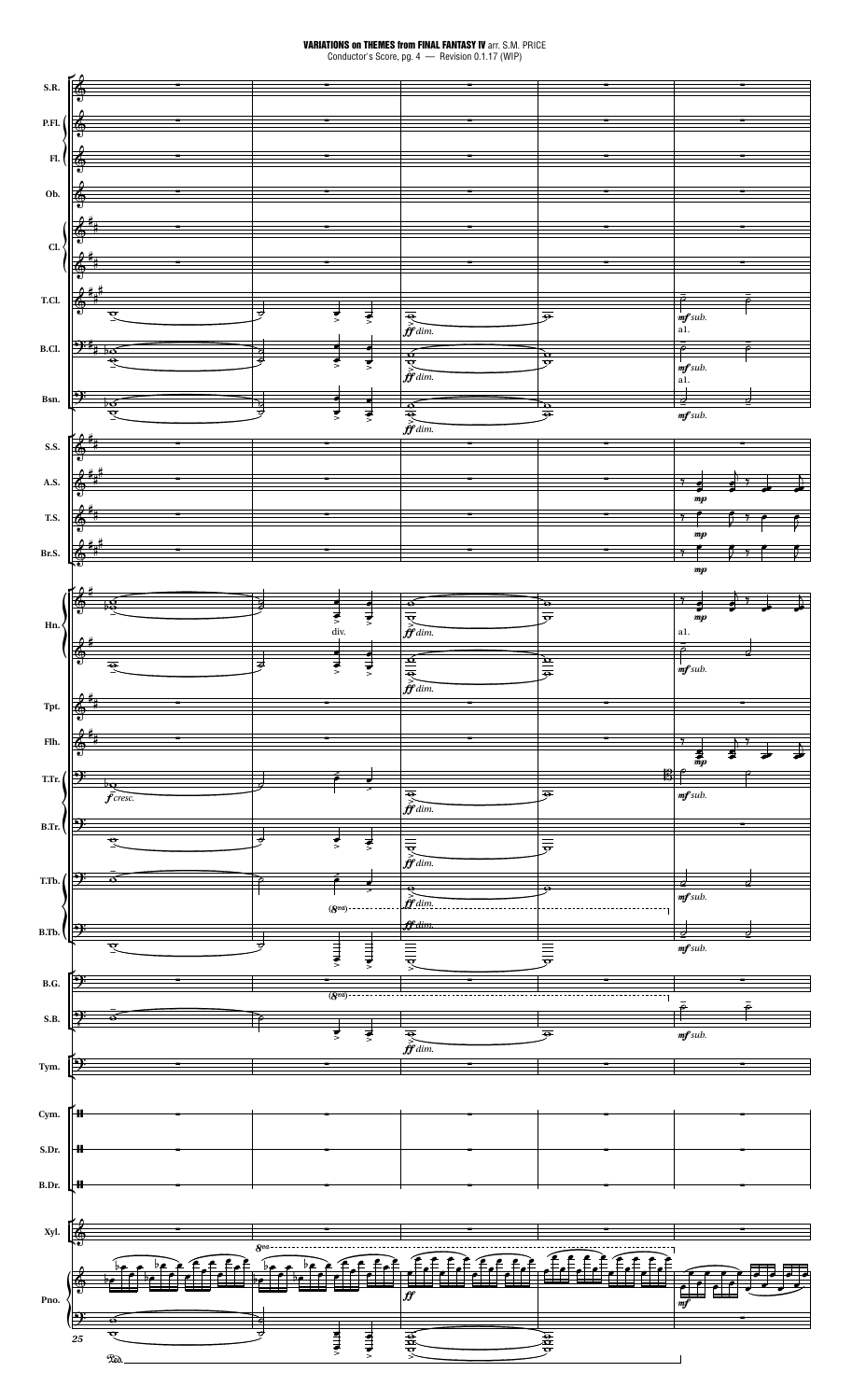# VARIATIONS on THEMES from FINAL FANTASY IV arr. S.M. PRICE Conductor's Score, pg. 4 — Revision 0.1.17 (WIP)

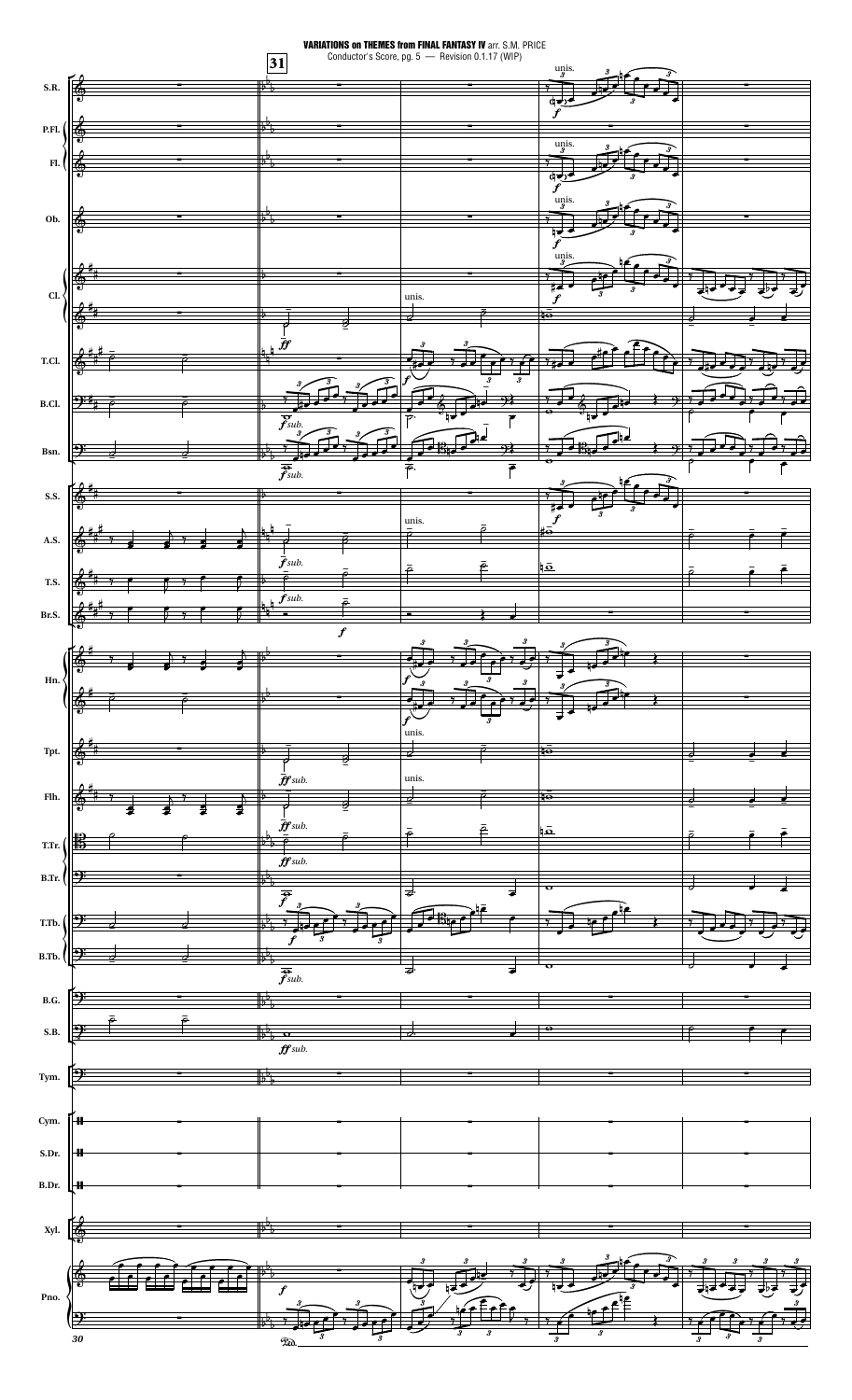VARIATIONS on THEMES from FINAL FANTASY IV arr. S.M. PRICE

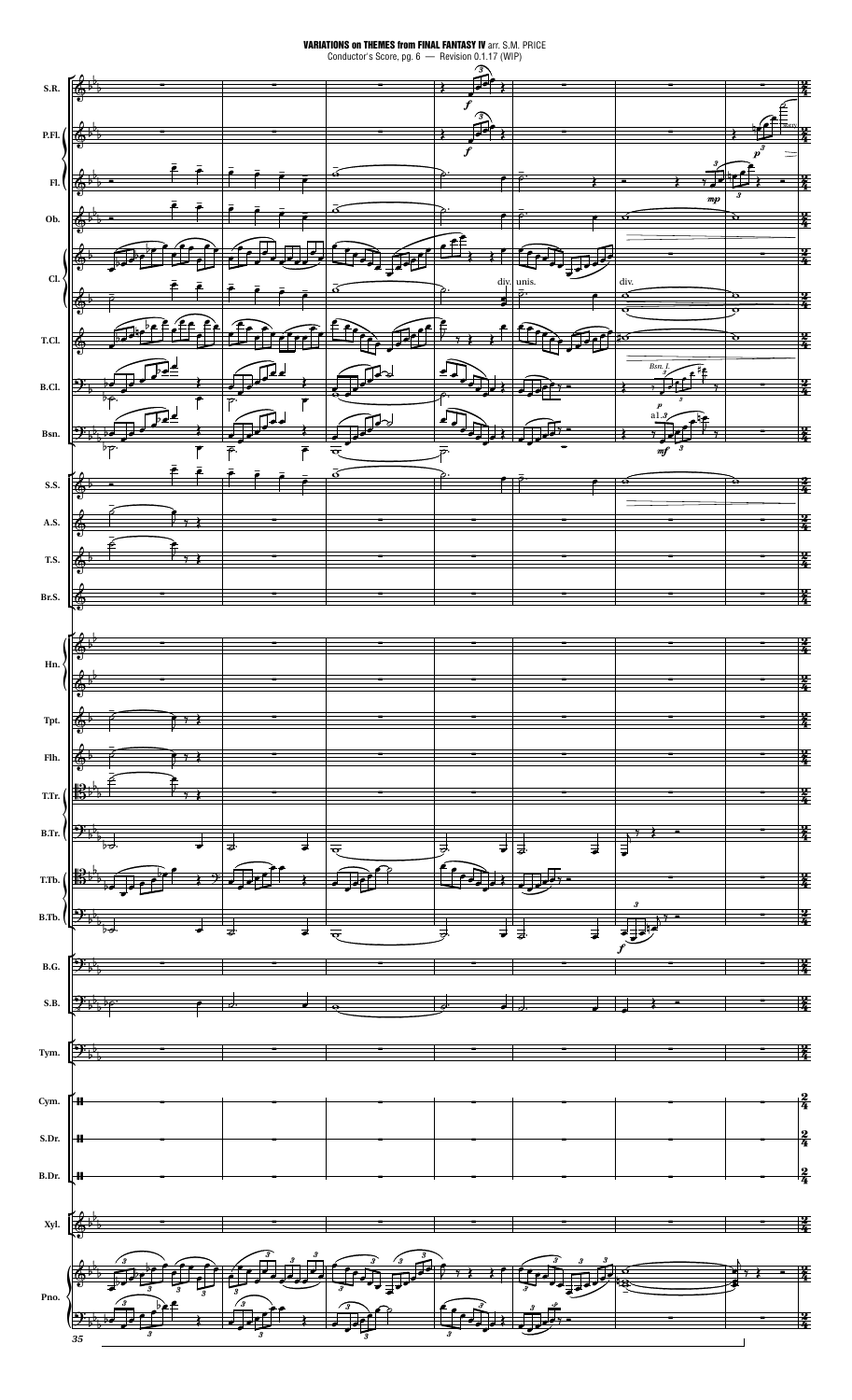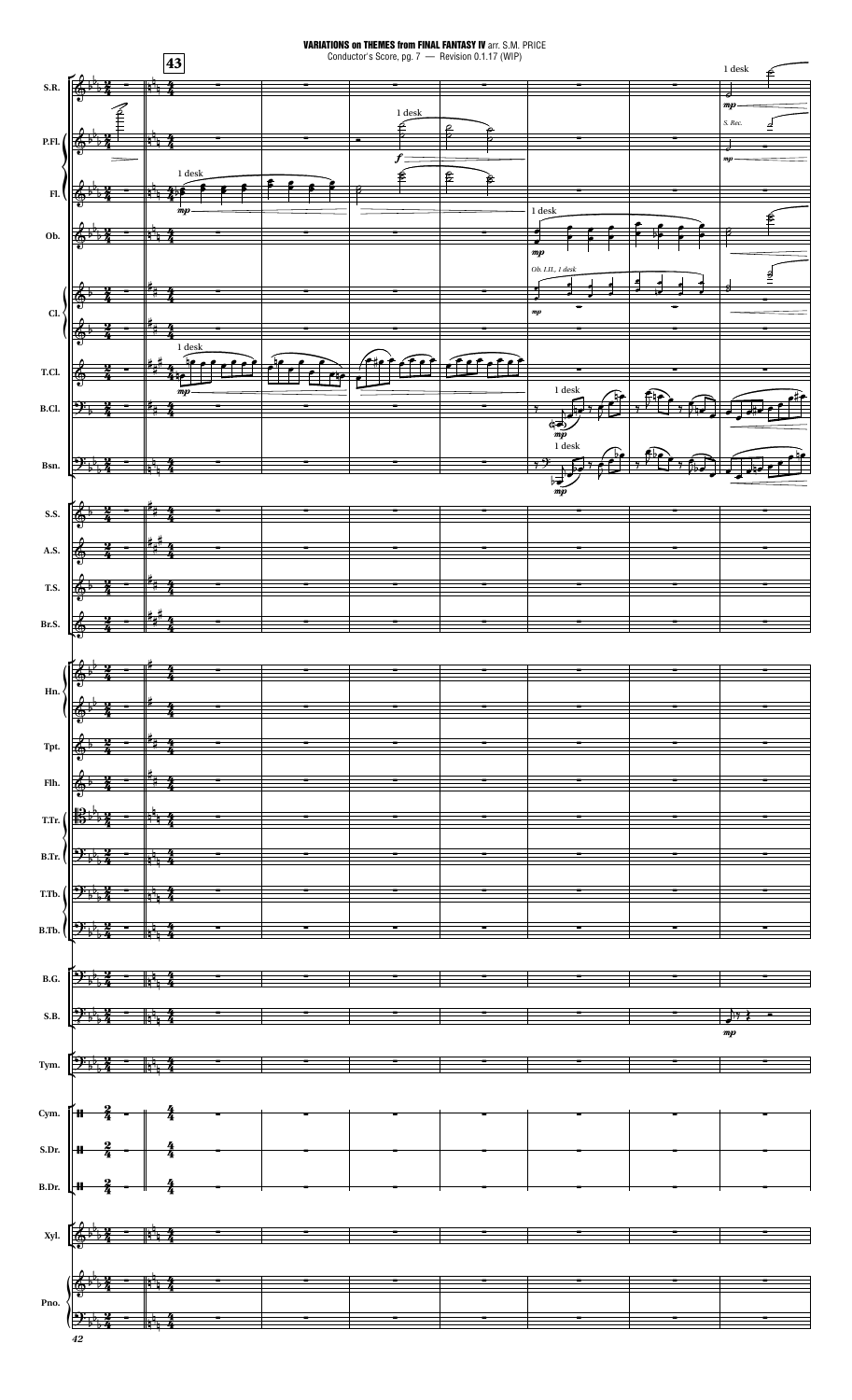VARIATIONS on THEMES from FINAL FANTASY IV arr. S.M. PRICE

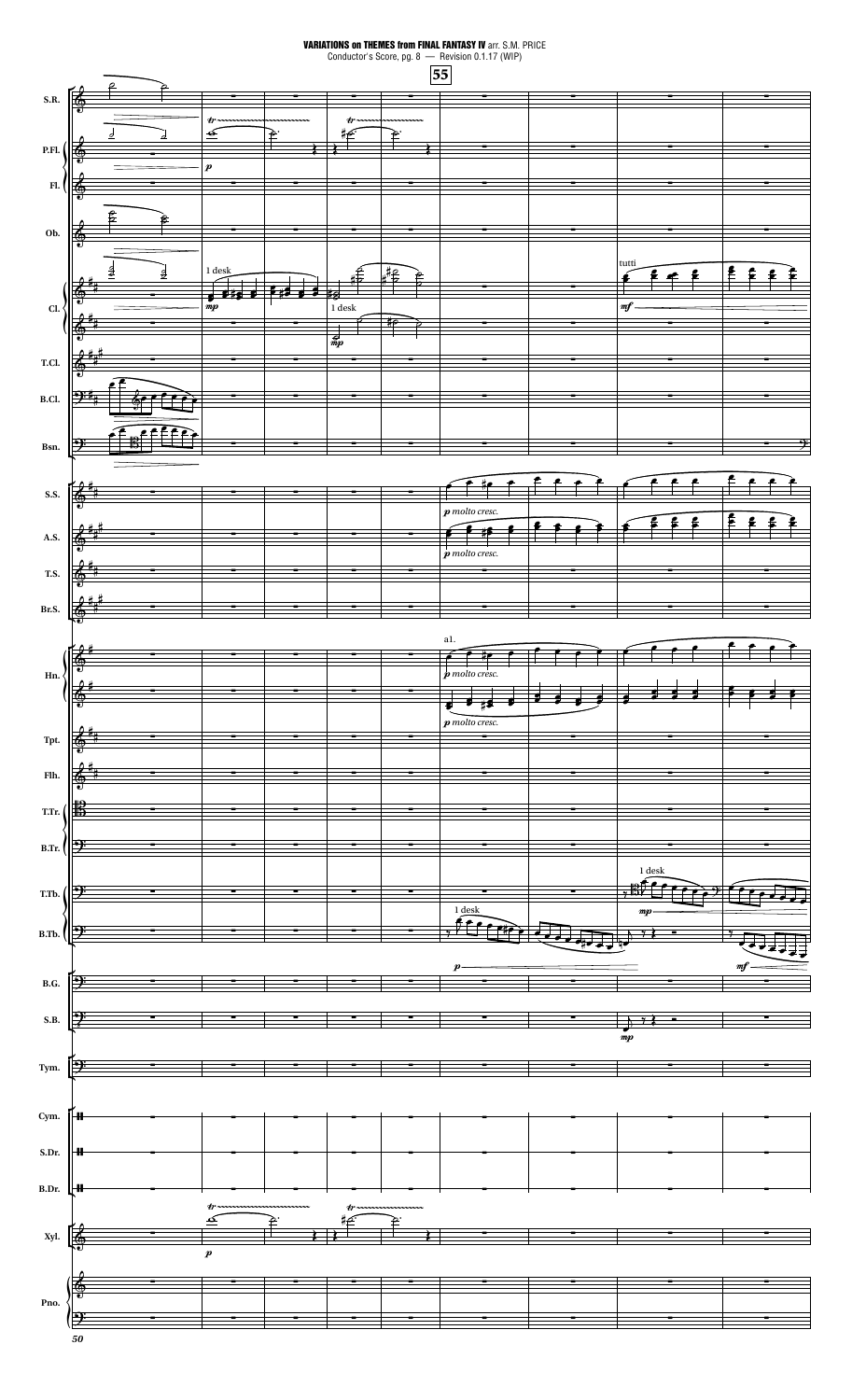## VARIATIONS on THEMES from FINAL FANTASY IV arr. S.M. PRICE Conductor's Score, pg. 8 — Revision 0.1.17 (WIP)

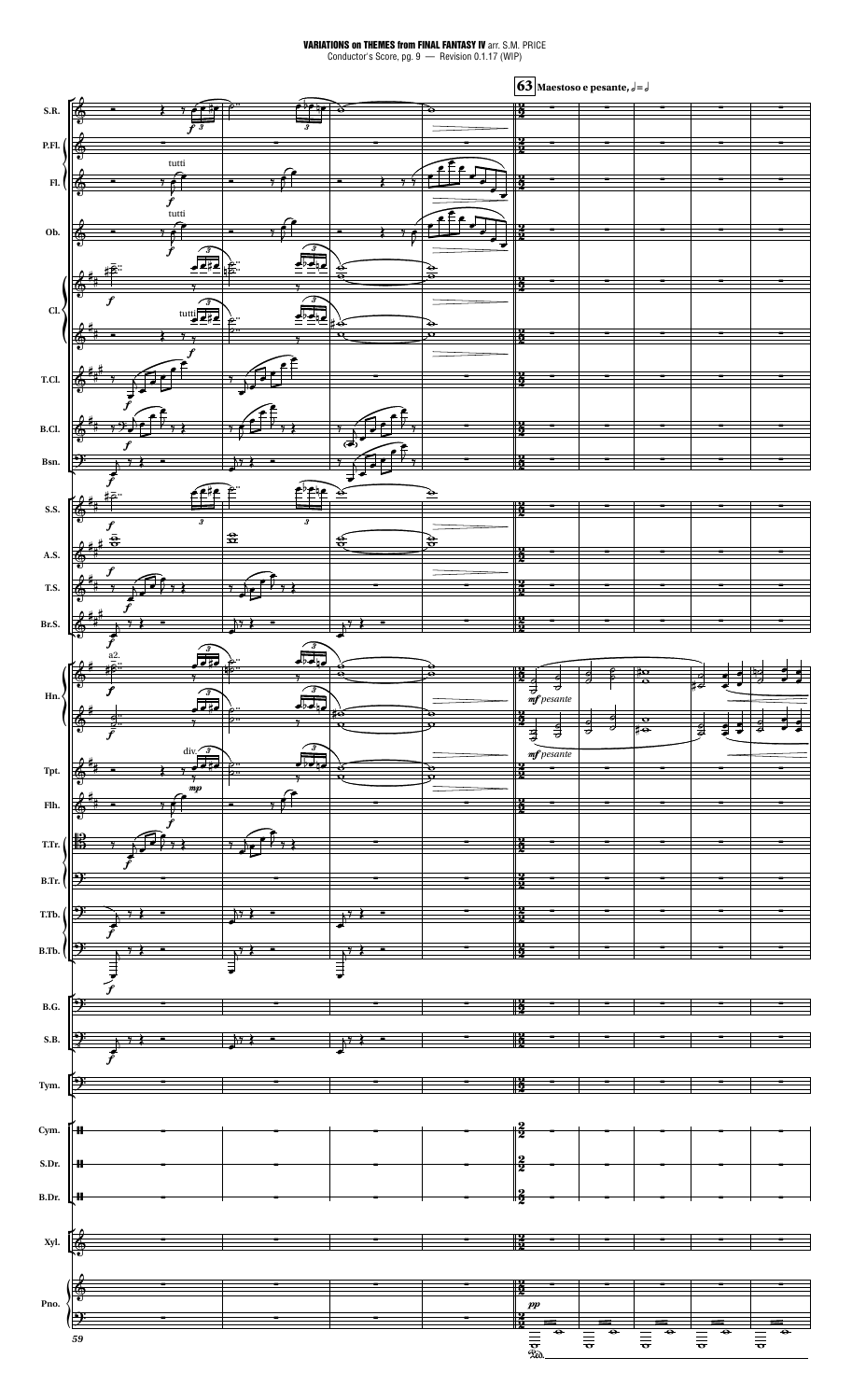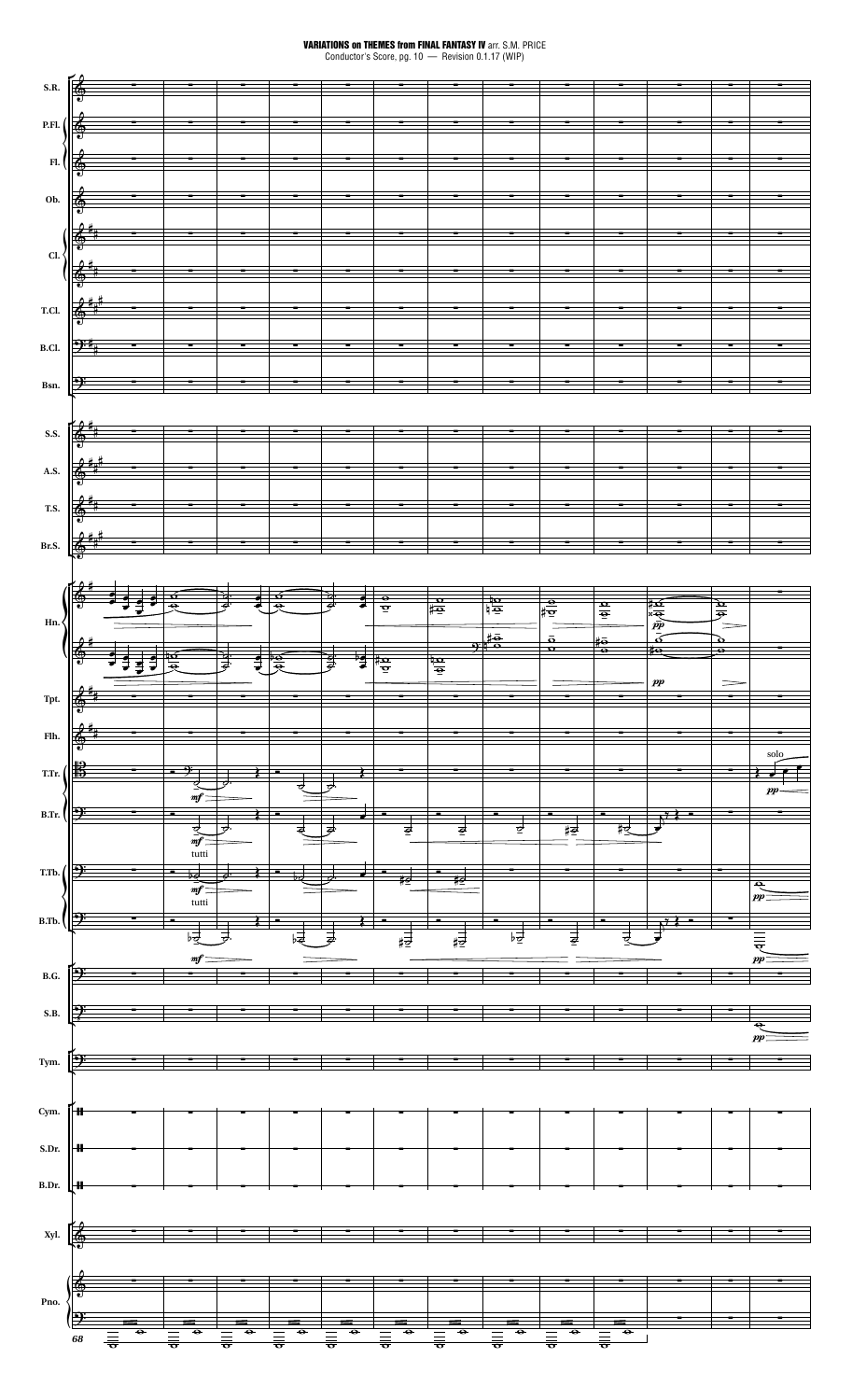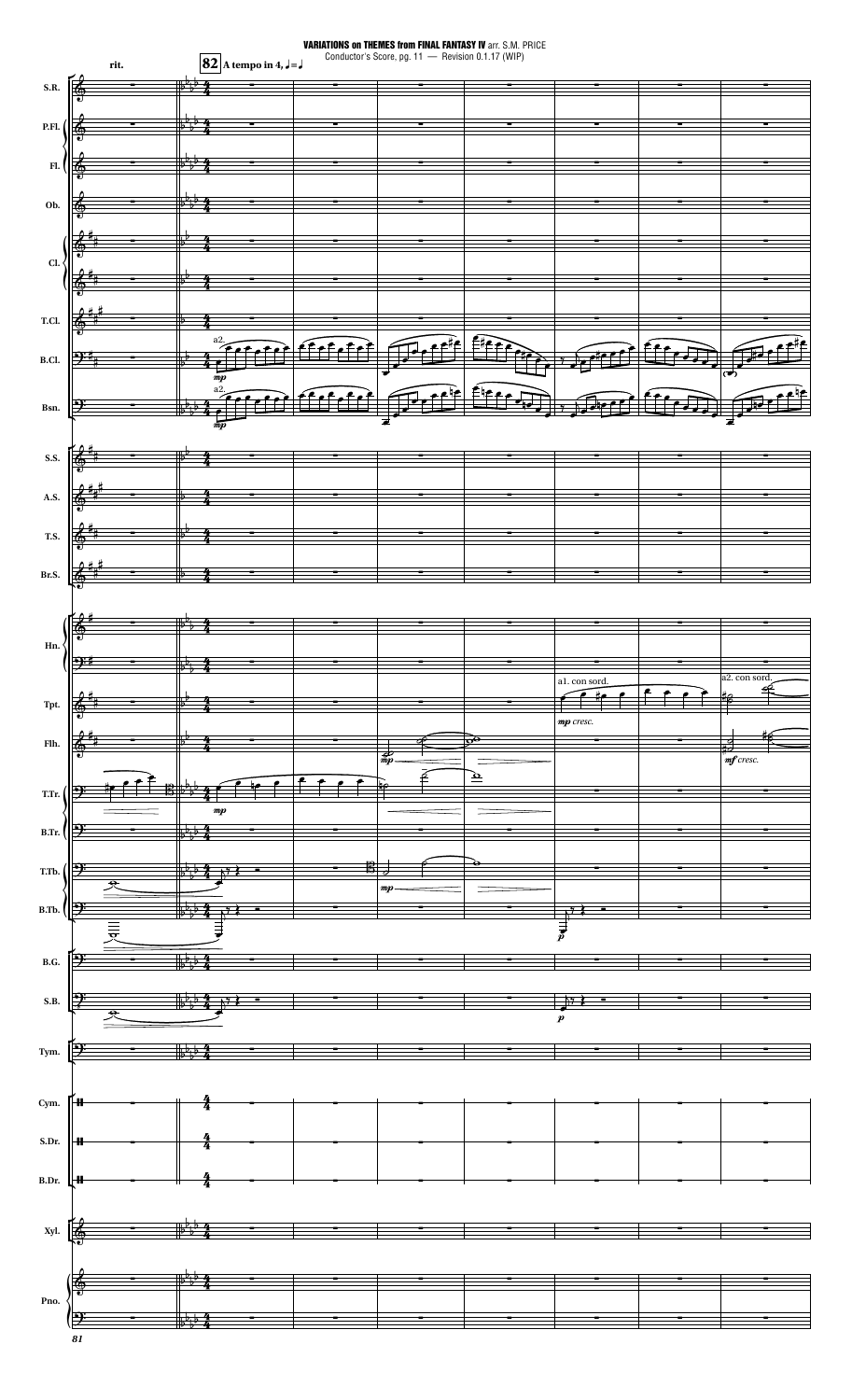

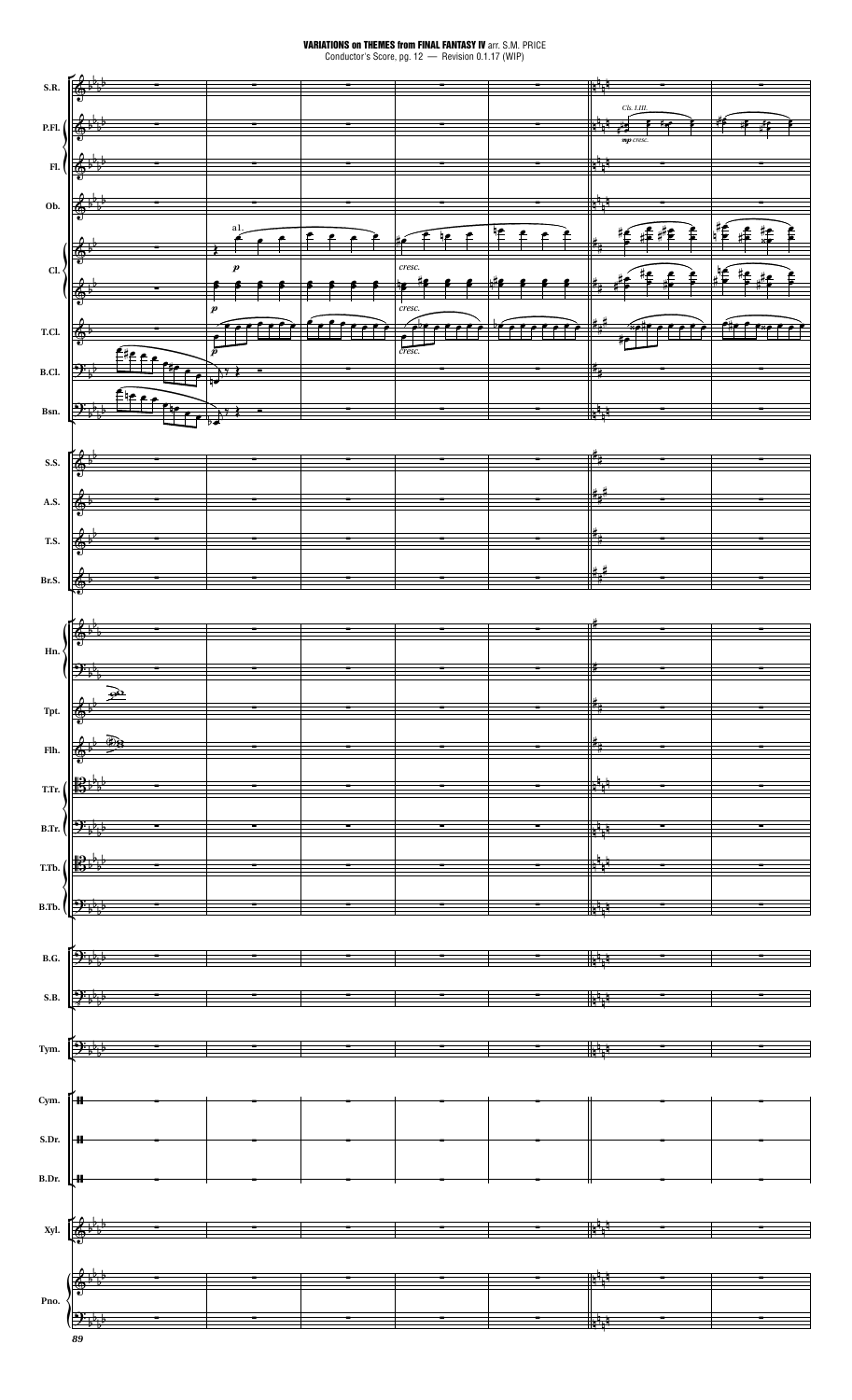# VARIATIONS on THEMES from FINAL FANTASY IV arr. S.M. PRICE Conductor's Score, pg. 12 — Revision 0.1.17 (WIP)



**89**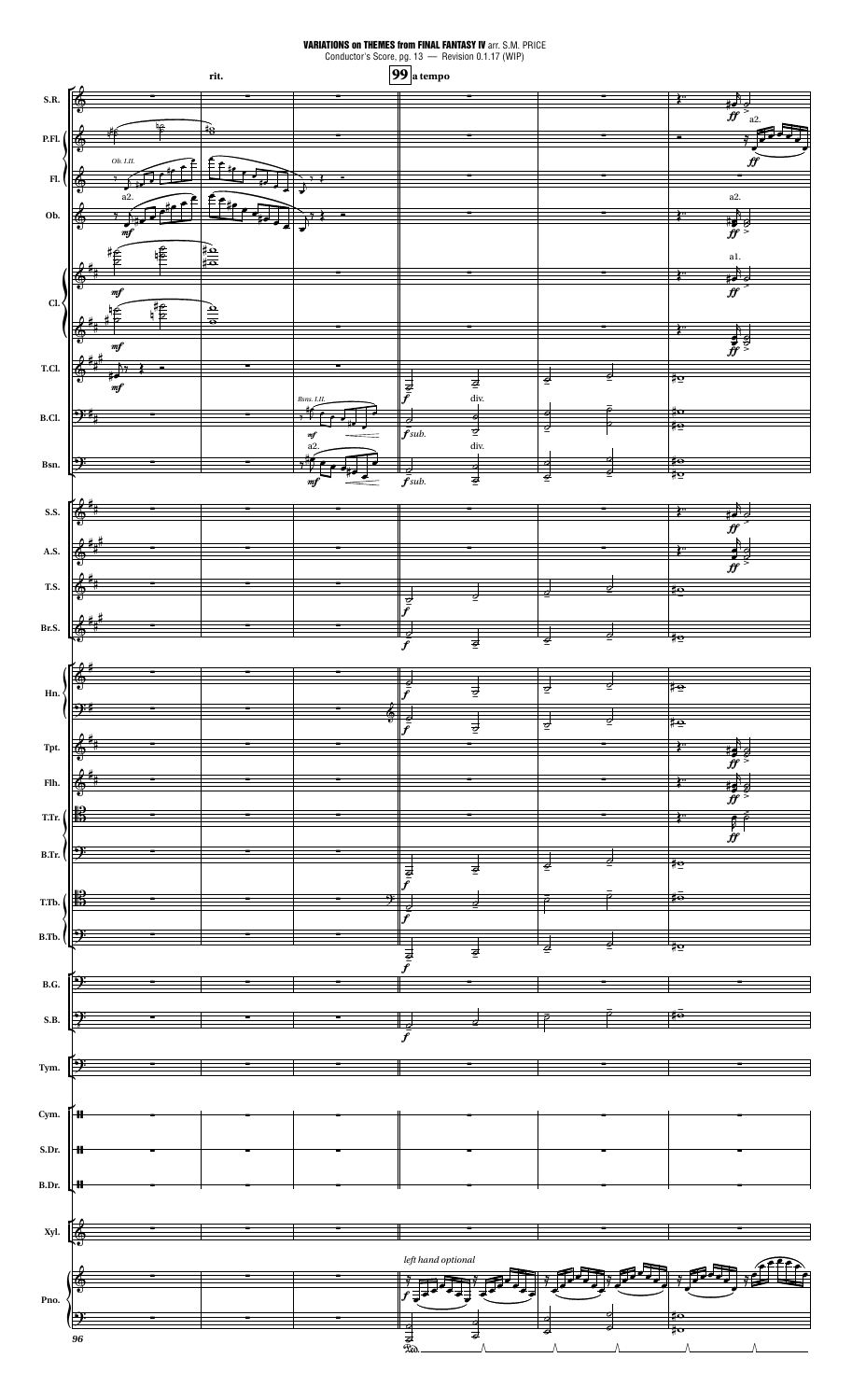## VARIATIONS on THEMES from FINAL FANTASY IV arr. S.M. PRICE Conductor's Score, pg. 13 — Revision 0.1.17 (WIP)

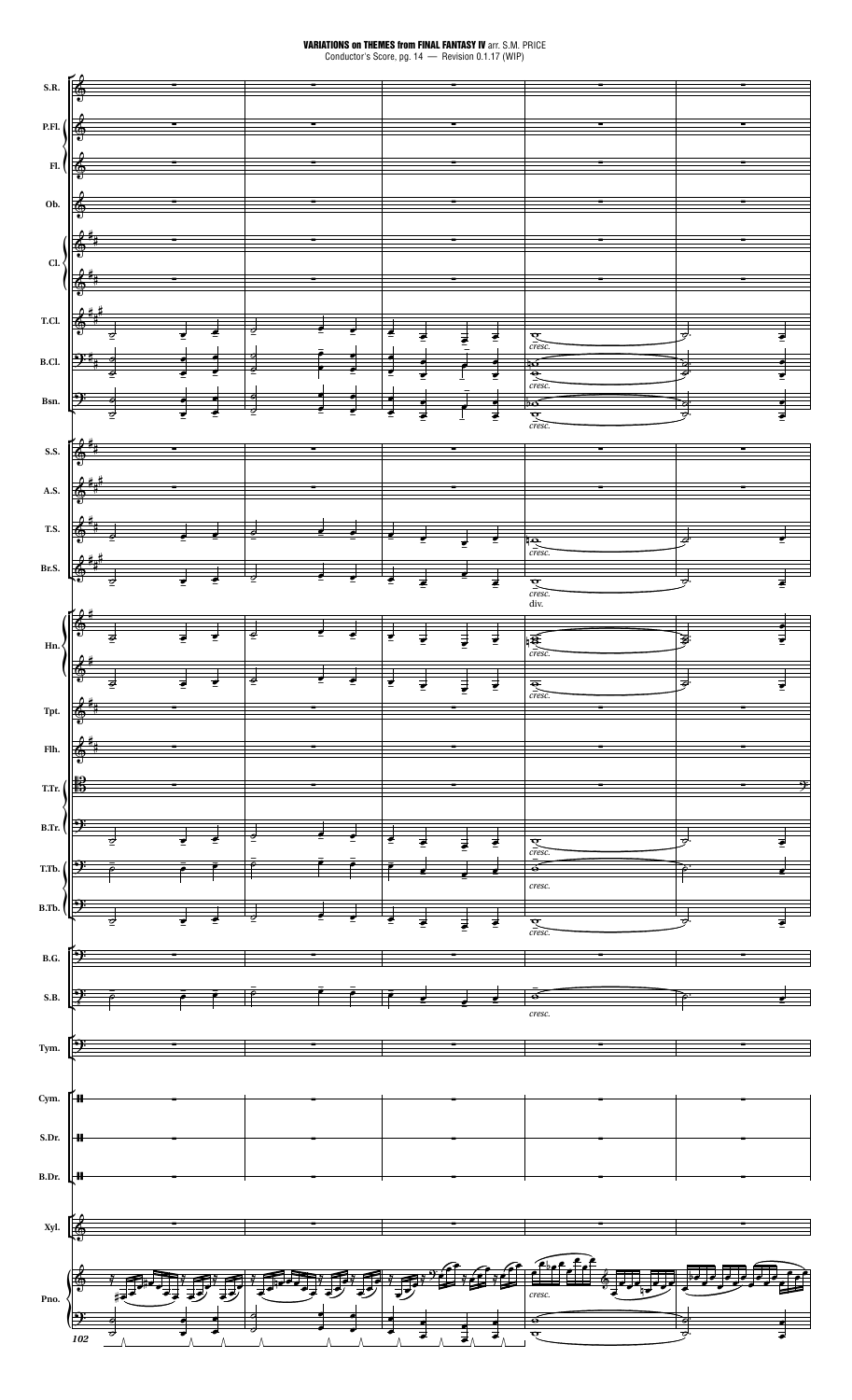# VARIATIONS on THEMES from FINAL FANTASY IV arr. S.M. PRICE Conductor's Score, pg. 14 — Revision 0.1.17 (WIP)

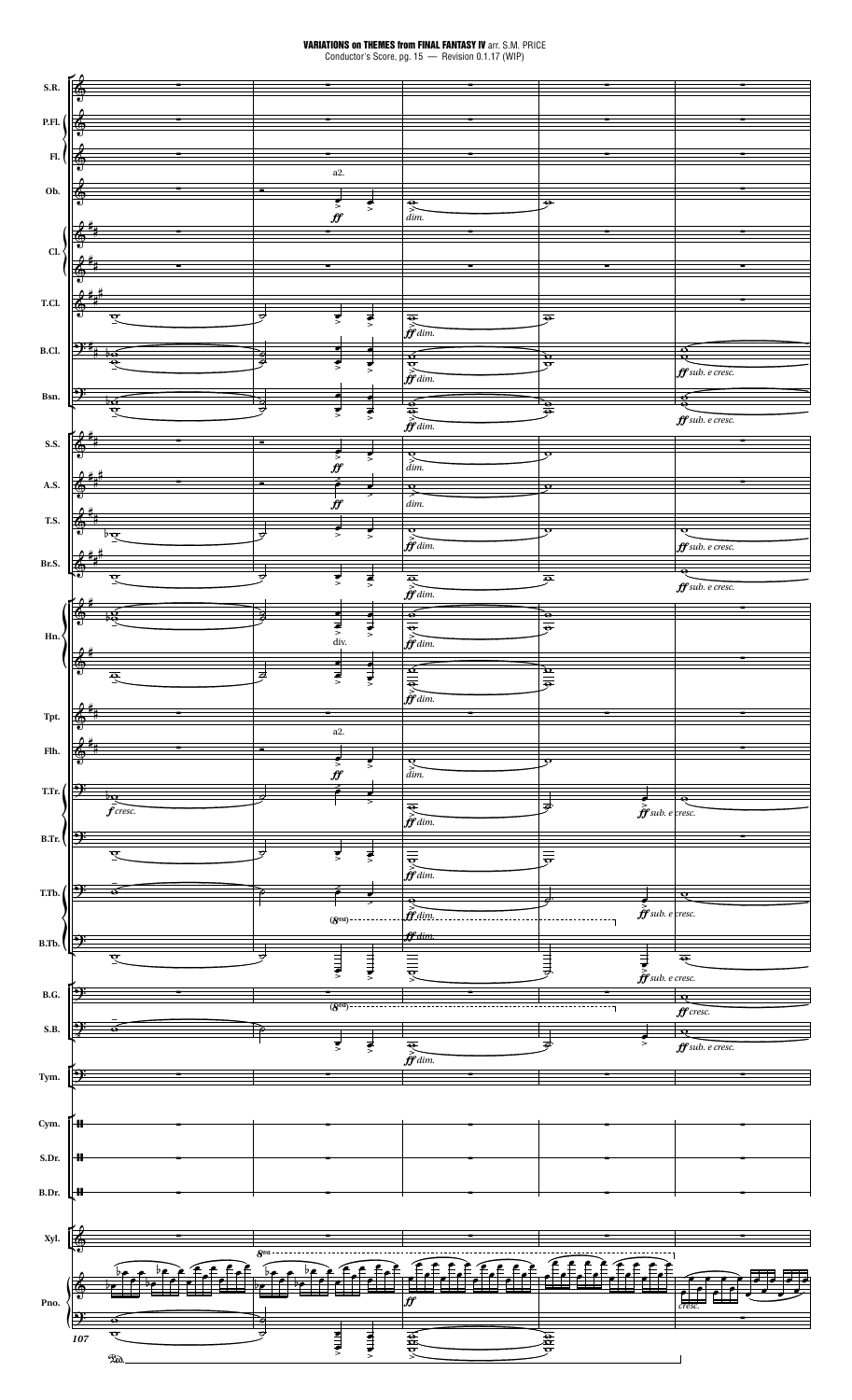# VARIATIONS on THEMES from FINAL FANTASY IV arr. S.M. PRICE Conductor's Score, pg. 15 — Revision 0.1.17 (WIP)

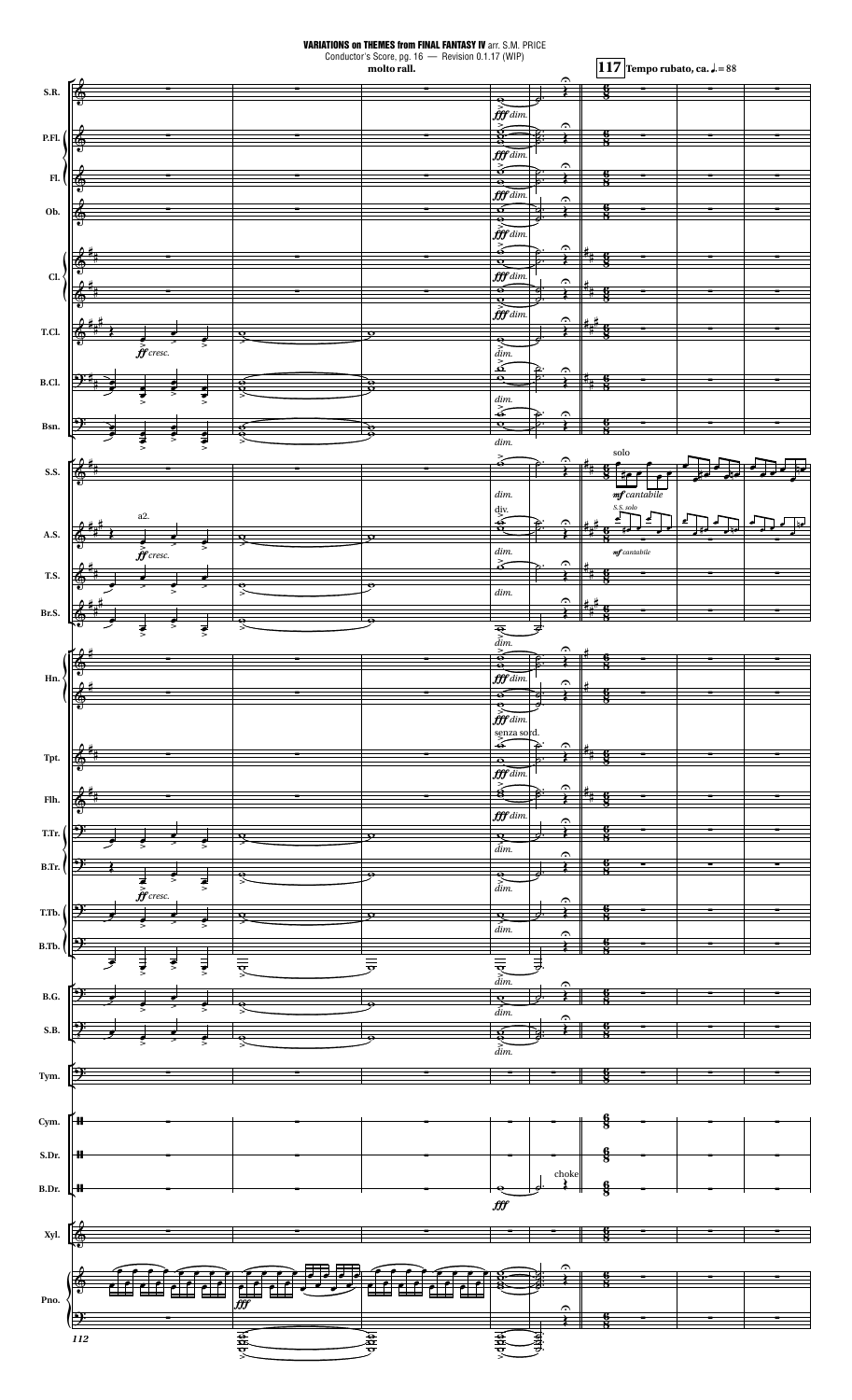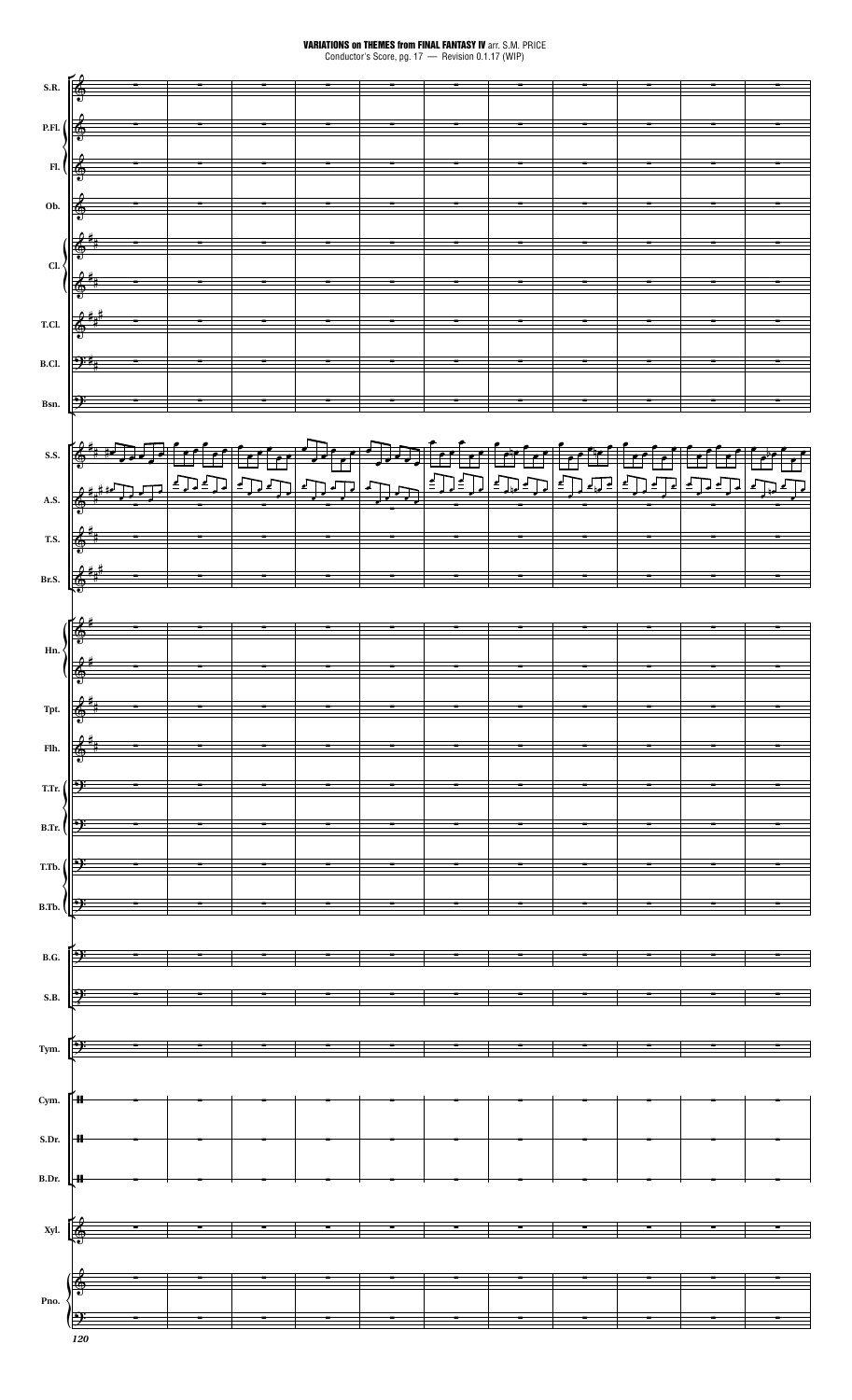# VARIATIONS on THEMES from FINAL FANTASY IV arr. S.M. PRICE Conductor's Score, pg. 17 — Revision 0.1.17 (WIP)

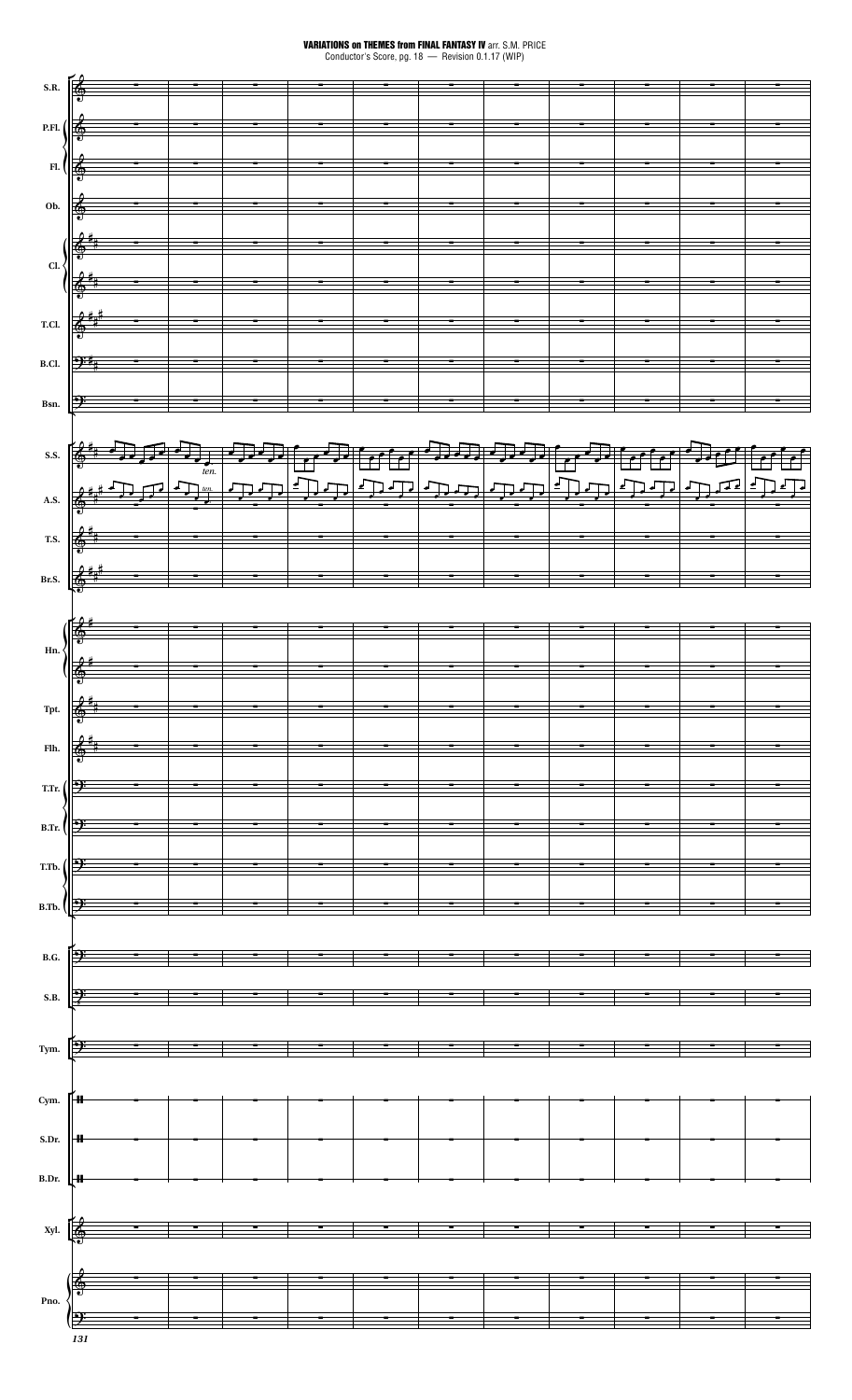# VARIATIONS on THEMES from FINAL FANTASY IV arr. S.M. PRICE Conductor's Score, pg. 18 — Revision 0.1.17 (WIP)

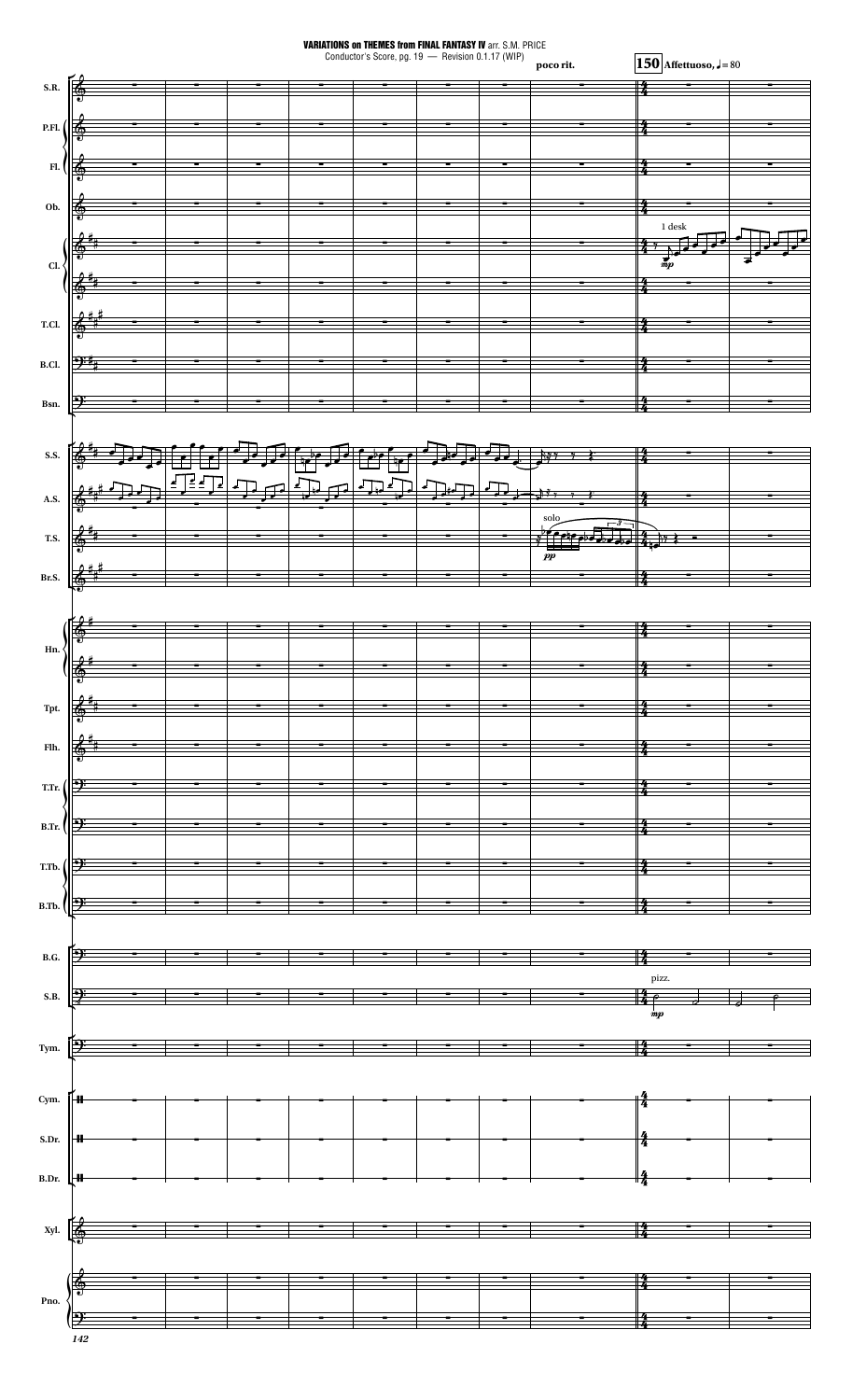$\overline{a}$  $\overline{\phantom{0}}$ 

|        |                                                                          |                                                                      |                          |                               |                          |                                                     |                                                                                                                                                                                                                                                                                                                                                                                                                                                                                | Conductor's Score, pg. 19 - Revision 0.1.17 (WIP) | poco rit.         | $\boxed{150}$ Affettuoso, J = 80                        |               |
|--------|--------------------------------------------------------------------------|----------------------------------------------------------------------|--------------------------|-------------------------------|--------------------------|-----------------------------------------------------|--------------------------------------------------------------------------------------------------------------------------------------------------------------------------------------------------------------------------------------------------------------------------------------------------------------------------------------------------------------------------------------------------------------------------------------------------------------------------------|---------------------------------------------------|-------------------|---------------------------------------------------------|---------------|
| $S.R.$ |                                                                          |                                                                      |                          |                               |                          |                                                     |                                                                                                                                                                                                                                                                                                                                                                                                                                                                                |                                                   |                   |                                                         |               |
|        |                                                                          |                                                                      |                          |                               |                          |                                                     |                                                                                                                                                                                                                                                                                                                                                                                                                                                                                |                                                   |                   |                                                         |               |
|        |                                                                          |                                                                      |                          |                               |                          |                                                     |                                                                                                                                                                                                                                                                                                                                                                                                                                                                                |                                                   |                   |                                                         |               |
|        |                                                                          |                                                                      |                          |                               |                          |                                                     |                                                                                                                                                                                                                                                                                                                                                                                                                                                                                |                                                   |                   |                                                         |               |
|        |                                                                          |                                                                      |                          |                               |                          |                                                     |                                                                                                                                                                                                                                                                                                                                                                                                                                                                                |                                                   |                   |                                                         |               |
|        |                                                                          |                                                                      |                          |                               |                          |                                                     |                                                                                                                                                                                                                                                                                                                                                                                                                                                                                |                                                   |                   |                                                         |               |
|        |                                                                          |                                                                      |                          |                               |                          |                                                     |                                                                                                                                                                                                                                                                                                                                                                                                                                                                                |                                                   |                   |                                                         |               |
|        |                                                                          |                                                                      |                          |                               |                          |                                                     |                                                                                                                                                                                                                                                                                                                                                                                                                                                                                |                                                   |                   |                                                         |               |
|        |                                                                          |                                                                      |                          |                               |                          |                                                     |                                                                                                                                                                                                                                                                                                                                                                                                                                                                                |                                                   |                   |                                                         |               |
|        |                                                                          |                                                                      |                          |                               |                          |                                                     |                                                                                                                                                                                                                                                                                                                                                                                                                                                                                |                                                   |                   |                                                         |               |
|        |                                                                          |                                                                      |                          |                               |                          |                                                     |                                                                                                                                                                                                                                                                                                                                                                                                                                                                                |                                                   |                   | $1$ desk $\,$                                           |               |
|        |                                                                          |                                                                      |                          |                               |                          |                                                     |                                                                                                                                                                                                                                                                                                                                                                                                                                                                                |                                                   |                   |                                                         |               |
|        |                                                                          |                                                                      |                          |                               |                          |                                                     |                                                                                                                                                                                                                                                                                                                                                                                                                                                                                |                                                   |                   |                                                         |               |
|        |                                                                          |                                                                      |                          |                               |                          |                                                     |                                                                                                                                                                                                                                                                                                                                                                                                                                                                                |                                                   |                   | $\frac{1}{mp}$                                          |               |
|        |                                                                          |                                                                      |                          |                               |                          |                                                     |                                                                                                                                                                                                                                                                                                                                                                                                                                                                                |                                                   |                   |                                                         |               |
|        |                                                                          |                                                                      |                          |                               |                          |                                                     |                                                                                                                                                                                                                                                                                                                                                                                                                                                                                |                                                   |                   |                                                         |               |
|        |                                                                          |                                                                      |                          |                               |                          |                                                     |                                                                                                                                                                                                                                                                                                                                                                                                                                                                                |                                                   |                   |                                                         |               |
|        |                                                                          |                                                                      |                          |                               |                          |                                                     |                                                                                                                                                                                                                                                                                                                                                                                                                                                                                |                                                   |                   |                                                         |               |
|        |                                                                          |                                                                      |                          |                               |                          |                                                     |                                                                                                                                                                                                                                                                                                                                                                                                                                                                                |                                                   |                   |                                                         |               |
| B.Cl.  |                                                                          |                                                                      |                          |                               |                          |                                                     |                                                                                                                                                                                                                                                                                                                                                                                                                                                                                |                                                   |                   |                                                         |               |
|        |                                                                          |                                                                      |                          |                               |                          |                                                     |                                                                                                                                                                                                                                                                                                                                                                                                                                                                                |                                                   |                   |                                                         |               |
|        |                                                                          |                                                                      |                          |                               |                          |                                                     |                                                                                                                                                                                                                                                                                                                                                                                                                                                                                |                                                   |                   |                                                         |               |
| Bsn.   |                                                                          |                                                                      |                          |                               |                          |                                                     |                                                                                                                                                                                                                                                                                                                                                                                                                                                                                |                                                   |                   |                                                         |               |
|        |                                                                          |                                                                      |                          |                               |                          |                                                     |                                                                                                                                                                                                                                                                                                                                                                                                                                                                                |                                                   |                   |                                                         |               |
|        |                                                                          |                                                                      |                          |                               |                          |                                                     |                                                                                                                                                                                                                                                                                                                                                                                                                                                                                |                                                   |                   |                                                         |               |
|        |                                                                          |                                                                      |                          |                               |                          |                                                     |                                                                                                                                                                                                                                                                                                                                                                                                                                                                                |                                                   |                   |                                                         |               |
|        |                                                                          |                                                                      |                          |                               |                          |                                                     |                                                                                                                                                                                                                                                                                                                                                                                                                                                                                |                                                   |                   |                                                         |               |
|        |                                                                          |                                                                      |                          |                               |                          |                                                     |                                                                                                                                                                                                                                                                                                                                                                                                                                                                                |                                                   |                   |                                                         |               |
|        |                                                                          |                                                                      |                          |                               |                          |                                                     |                                                                                                                                                                                                                                                                                                                                                                                                                                                                                |                                                   |                   |                                                         |               |
|        |                                                                          |                                                                      |                          |                               |                          |                                                     |                                                                                                                                                                                                                                                                                                                                                                                                                                                                                |                                                   |                   |                                                         |               |
|        |                                                                          |                                                                      |                          |                               |                          |                                                     |                                                                                                                                                                                                                                                                                                                                                                                                                                                                                |                                                   |                   |                                                         |               |
|        |                                                                          |                                                                      |                          |                               |                          |                                                     |                                                                                                                                                                                                                                                                                                                                                                                                                                                                                |                                                   | solo              |                                                         |               |
|        |                                                                          |                                                                      |                          |                               |                          |                                                     |                                                                                                                                                                                                                                                                                                                                                                                                                                                                                |                                                   |                   |                                                         |               |
|        |                                                                          |                                                                      |                          |                               |                          |                                                     |                                                                                                                                                                                                                                                                                                                                                                                                                                                                                |                                                   | $\boldsymbol{pp}$ |                                                         |               |
|        |                                                                          |                                                                      |                          |                               |                          |                                                     |                                                                                                                                                                                                                                                                                                                                                                                                                                                                                |                                                   |                   |                                                         |               |
|        |                                                                          |                                                                      |                          |                               |                          |                                                     |                                                                                                                                                                                                                                                                                                                                                                                                                                                                                |                                                   |                   |                                                         |               |
|        |                                                                          |                                                                      |                          |                               |                          |                                                     |                                                                                                                                                                                                                                                                                                                                                                                                                                                                                |                                                   |                   |                                                         |               |
|        |                                                                          |                                                                      |                          |                               |                          |                                                     |                                                                                                                                                                                                                                                                                                                                                                                                                                                                                |                                                   |                   |                                                         |               |
|        |                                                                          |                                                                      |                          |                               |                          |                                                     |                                                                                                                                                                                                                                                                                                                                                                                                                                                                                |                                                   |                   |                                                         |               |
|        |                                                                          |                                                                      |                          |                               |                          |                                                     |                                                                                                                                                                                                                                                                                                                                                                                                                                                                                |                                                   |                   |                                                         |               |
|        |                                                                          |                                                                      |                          |                               |                          |                                                     |                                                                                                                                                                                                                                                                                                                                                                                                                                                                                |                                                   |                   |                                                         |               |
|        |                                                                          |                                                                      |                          |                               |                          |                                                     |                                                                                                                                                                                                                                                                                                                                                                                                                                                                                |                                                   |                   |                                                         |               |
|        | ∣∙                                                                       |                                                                      |                          |                               |                          |                                                     |                                                                                                                                                                                                                                                                                                                                                                                                                                                                                |                                                   |                   |                                                         |               |
|        |                                                                          |                                                                      |                          |                               |                          |                                                     |                                                                                                                                                                                                                                                                                                                                                                                                                                                                                |                                                   |                   |                                                         |               |
|        |                                                                          |                                                                      |                          |                               | $\overline{\phantom{a}}$ | <u> Frika</u>                                       |                                                                                                                                                                                                                                                                                                                                                                                                                                                                                |                                                   |                   |                                                         |               |
|        |                                                                          |                                                                      |                          |                               |                          |                                                     |                                                                                                                                                                                                                                                                                                                                                                                                                                                                                |                                                   |                   |                                                         |               |
|        |                                                                          |                                                                      |                          |                               |                          |                                                     |                                                                                                                                                                                                                                                                                                                                                                                                                                                                                |                                                   |                   |                                                         |               |
|        |                                                                          | Flh. $\frac{2\pi}{9}$                                                |                          |                               |                          | Ξ                                                   |                                                                                                                                                                                                                                                                                                                                                                                                                                                                                |                                                   |                   |                                                         |               |
|        |                                                                          |                                                                      |                          |                               |                          |                                                     |                                                                                                                                                                                                                                                                                                                                                                                                                                                                                |                                                   |                   |                                                         |               |
|        |                                                                          |                                                                      |                          |                               |                          |                                                     |                                                                                                                                                                                                                                                                                                                                                                                                                                                                                |                                                   |                   |                                                         |               |
|        | T.Tr.                                                                    |                                                                      |                          | Ξ                             | $\overline{\phantom{a}}$ |                                                     |                                                                                                                                                                                                                                                                                                                                                                                                                                                                                |                                                   |                   |                                                         |               |
|        |                                                                          |                                                                      |                          |                               |                          |                                                     |                                                                                                                                                                                                                                                                                                                                                                                                                                                                                |                                                   |                   |                                                         |               |
|        |                                                                          |                                                                      |                          |                               |                          |                                                     |                                                                                                                                                                                                                                                                                                                                                                                                                                                                                |                                                   |                   |                                                         |               |
|        | в.т. $\left(\left \frac{1}{2}\right  \right)$                            |                                                                      |                          |                               |                          |                                                     |                                                                                                                                                                                                                                                                                                                                                                                                                                                                                |                                                   |                   |                                                         |               |
|        |                                                                          |                                                                      |                          |                               |                          |                                                     |                                                                                                                                                                                                                                                                                                                                                                                                                                                                                |                                                   |                   |                                                         |               |
|        |                                                                          |                                                                      |                          |                               |                          |                                                     |                                                                                                                                                                                                                                                                                                                                                                                                                                                                                |                                                   |                   |                                                         |               |
|        | т.ть. $\left\  \frac{\partial \mathbf{F}}{\partial \mathbf{F}} \right\ $ |                                                                      |                          |                               |                          |                                                     |                                                                                                                                                                                                                                                                                                                                                                                                                                                                                |                                                   |                   |                                                         |               |
|        |                                                                          |                                                                      |                          |                               |                          |                                                     |                                                                                                                                                                                                                                                                                                                                                                                                                                                                                |                                                   |                   |                                                         |               |
|        |                                                                          | в.ть. $\left( \left\  \frac{\mathbf{Q}}{\mathbf{P}}\right\  \right)$ |                          |                               |                          |                                                     | Ξ                                                                                                                                                                                                                                                                                                                                                                                                                                                                              |                                                   |                   |                                                         |               |
|        |                                                                          |                                                                      |                          |                               |                          |                                                     |                                                                                                                                                                                                                                                                                                                                                                                                                                                                                |                                                   |                   |                                                         |               |
|        |                                                                          |                                                                      |                          |                               |                          |                                                     |                                                                                                                                                                                                                                                                                                                                                                                                                                                                                |                                                   |                   |                                                         |               |
|        |                                                                          |                                                                      |                          |                               |                          |                                                     |                                                                                                                                                                                                                                                                                                                                                                                                                                                                                |                                                   |                   |                                                         |               |
|        |                                                                          |                                                                      |                          |                               |                          | B.G. $\left  \frac{\partial F}{\partial x} \right $ |                                                                                                                                                                                                                                                                                                                                                                                                                                                                                |                                                   |                   | $\frac{14}{4}$                                          |               |
|        |                                                                          |                                                                      |                          |                               |                          |                                                     |                                                                                                                                                                                                                                                                                                                                                                                                                                                                                |                                                   |                   | pizz.                                                   |               |
|        |                                                                          |                                                                      |                          |                               |                          |                                                     |                                                                                                                                                                                                                                                                                                                                                                                                                                                                                |                                                   |                   |                                                         |               |
|        | S.B. $\frac{1}{2}$                                                       |                                                                      |                          | $\overline{+}$ $\overline{-}$ | $\frac{1}{\sqrt{2}}$     | Ξ                                                   |                                                                                                                                                                                                                                                                                                                                                                                                                                                                                |                                                   |                   | $\begin{array}{c}\n\frac{1}{4}e \\ \hline\n\end{array}$ | $\rightarrow$ |
|        |                                                                          |                                                                      |                          |                               |                          |                                                     |                                                                                                                                                                                                                                                                                                                                                                                                                                                                                |                                                   |                   |                                                         |               |
|        |                                                                          |                                                                      |                          |                               |                          |                                                     |                                                                                                                                                                                                                                                                                                                                                                                                                                                                                |                                                   |                   |                                                         |               |
|        |                                                                          |                                                                      |                          |                               |                          | Tym. $\frac{1}{2}$                                  | ÷                                                                                                                                                                                                                                                                                                                                                                                                                                                                              |                                                   |                   | $\frac{14}{3}$                                          |               |
|        |                                                                          |                                                                      |                          |                               |                          |                                                     |                                                                                                                                                                                                                                                                                                                                                                                                                                                                                |                                                   |                   |                                                         |               |
|        |                                                                          |                                                                      |                          |                               |                          |                                                     |                                                                                                                                                                                                                                                                                                                                                                                                                                                                                |                                                   |                   |                                                         |               |
|        |                                                                          |                                                                      |                          |                               |                          |                                                     |                                                                                                                                                                                                                                                                                                                                                                                                                                                                                |                                                   |                   |                                                         |               |
|        | Cym. $\left[\begin{array}{cc} \begin{array}{cc} \end{array} \right]$     |                                                                      | $\overline{\phantom{a}}$ |                               |                          |                                                     |                                                                                                                                                                                                                                                                                                                                                                                                                                                                                |                                                   |                   | 14                                                      |               |
|        |                                                                          |                                                                      |                          |                               |                          |                                                     |                                                                                                                                                                                                                                                                                                                                                                                                                                                                                |                                                   |                   |                                                         |               |
|        |                                                                          |                                                                      |                          |                               |                          |                                                     |                                                                                                                                                                                                                                                                                                                                                                                                                                                                                |                                                   |                   |                                                         |               |
|        | S.Dr. $\ \ $                                                             |                                                                      |                          |                               |                          |                                                     |                                                                                                                                                                                                                                                                                                                                                                                                                                                                                |                                                   |                   | $\frac{4}{4}$                                           |               |
|        |                                                                          |                                                                      |                          |                               |                          |                                                     |                                                                                                                                                                                                                                                                                                                                                                                                                                                                                |                                                   |                   |                                                         |               |
|        |                                                                          |                                                                      |                          |                               |                          |                                                     |                                                                                                                                                                                                                                                                                                                                                                                                                                                                                |                                                   |                   |                                                         |               |
|        | B.Dr. $\ \ $                                                             |                                                                      |                          |                               |                          |                                                     |                                                                                                                                                                                                                                                                                                                                                                                                                                                                                |                                                   |                   |                                                         |               |
|        |                                                                          |                                                                      |                          |                               |                          |                                                     |                                                                                                                                                                                                                                                                                                                                                                                                                                                                                |                                                   |                   |                                                         |               |
|        |                                                                          |                                                                      |                          |                               |                          |                                                     |                                                                                                                                                                                                                                                                                                                                                                                                                                                                                |                                                   |                   |                                                         |               |
|        |                                                                          |                                                                      |                          |                               |                          |                                                     |                                                                                                                                                                                                                                                                                                                                                                                                                                                                                |                                                   |                   |                                                         |               |
|        |                                                                          |                                                                      |                          |                               |                          |                                                     | $\sum_{x,y,l}$ $\left[\frac{\partial}{\partial y}$ and $\frac{\partial}{\partial y}$ and $\frac{\partial}{\partial z}$ and $\frac{\partial}{\partial z}$ and $\frac{\partial}{\partial x}$ and $\frac{\partial}{\partial z}$ and $\frac{\partial}{\partial x}$ and $\frac{\partial}{\partial z}$ and $\frac{\partial}{\partial x}$ and $\frac{\partial}{\partial x}$ and $\frac{\partial}{\partial y}$ and $\frac{\partial}{\partial z}$ and $\frac{\partial}{\partial x}$ and |                                                   |                   | ₩                                                       |               |
|        |                                                                          |                                                                      |                          |                               |                          |                                                     |                                                                                                                                                                                                                                                                                                                                                                                                                                                                                |                                                   |                   |                                                         |               |
|        |                                                                          |                                                                      |                          |                               |                          |                                                     |                                                                                                                                                                                                                                                                                                                                                                                                                                                                                |                                                   |                   |                                                         |               |
|        |                                                                          |                                                                      |                          |                               |                          |                                                     |                                                                                                                                                                                                                                                                                                                                                                                                                                                                                |                                                   |                   | 喜                                                       |               |
|        |                                                                          |                                                                      |                          |                               |                          |                                                     |                                                                                                                                                                                                                                                                                                                                                                                                                                                                                |                                                   |                   |                                                         |               |
|        | ∲                                                                        |                                                                      |                          |                               |                          |                                                     |                                                                                                                                                                                                                                                                                                                                                                                                                                                                                |                                                   |                   |                                                         |               |
|        |                                                                          |                                                                      |                          |                               |                          |                                                     |                                                                                                                                                                                                                                                                                                                                                                                                                                                                                |                                                   |                   |                                                         |               |
|        | Э                                                                        |                                                                      |                          |                               |                          |                                                     |                                                                                                                                                                                                                                                                                                                                                                                                                                                                                |                                                   |                   |                                                         |               |
| Pno.   |                                                                          | $\boldsymbol{142}$                                                   |                          |                               |                          |                                                     |                                                                                                                                                                                                                                                                                                                                                                                                                                                                                |                                                   |                   |                                                         |               |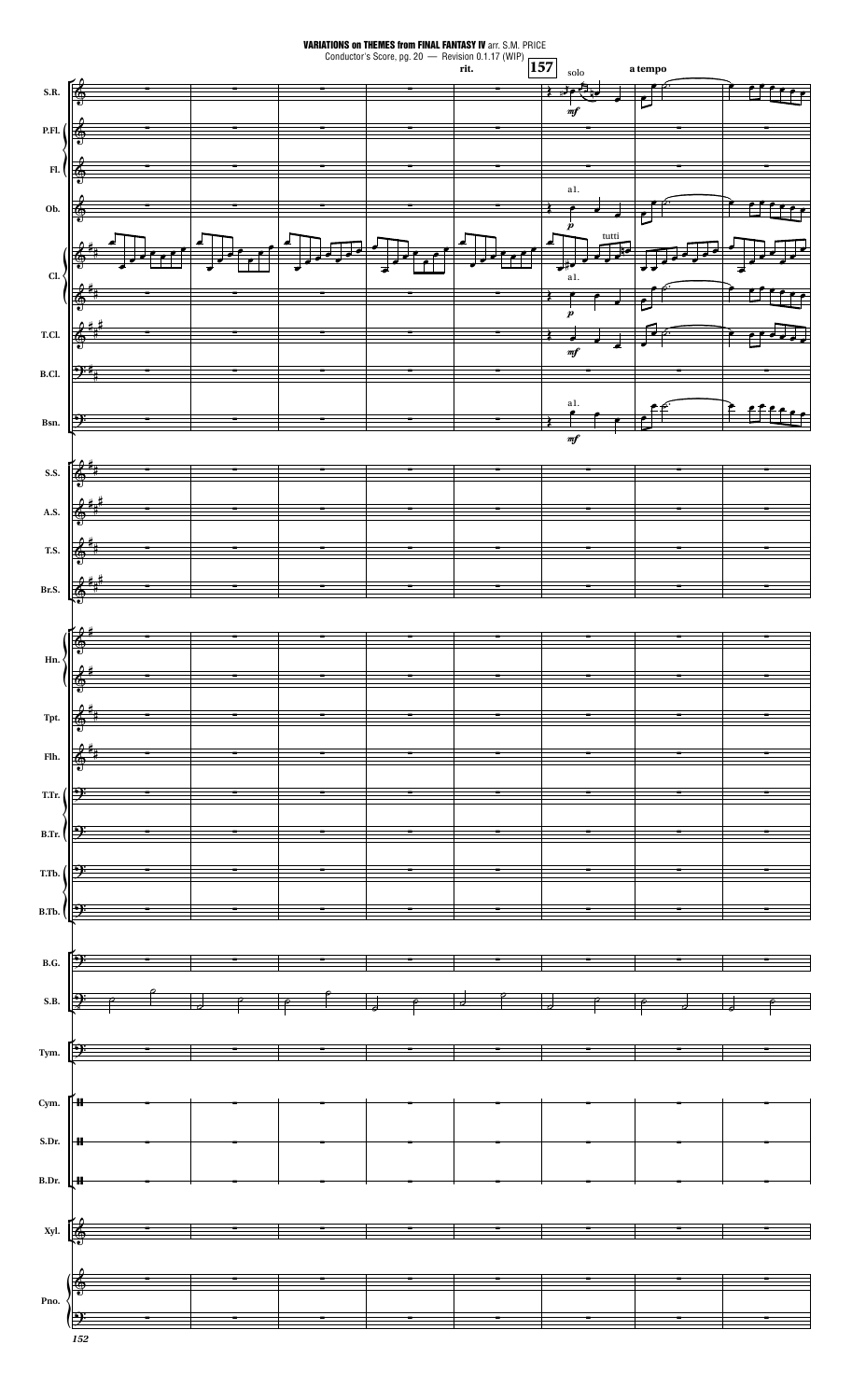

**152**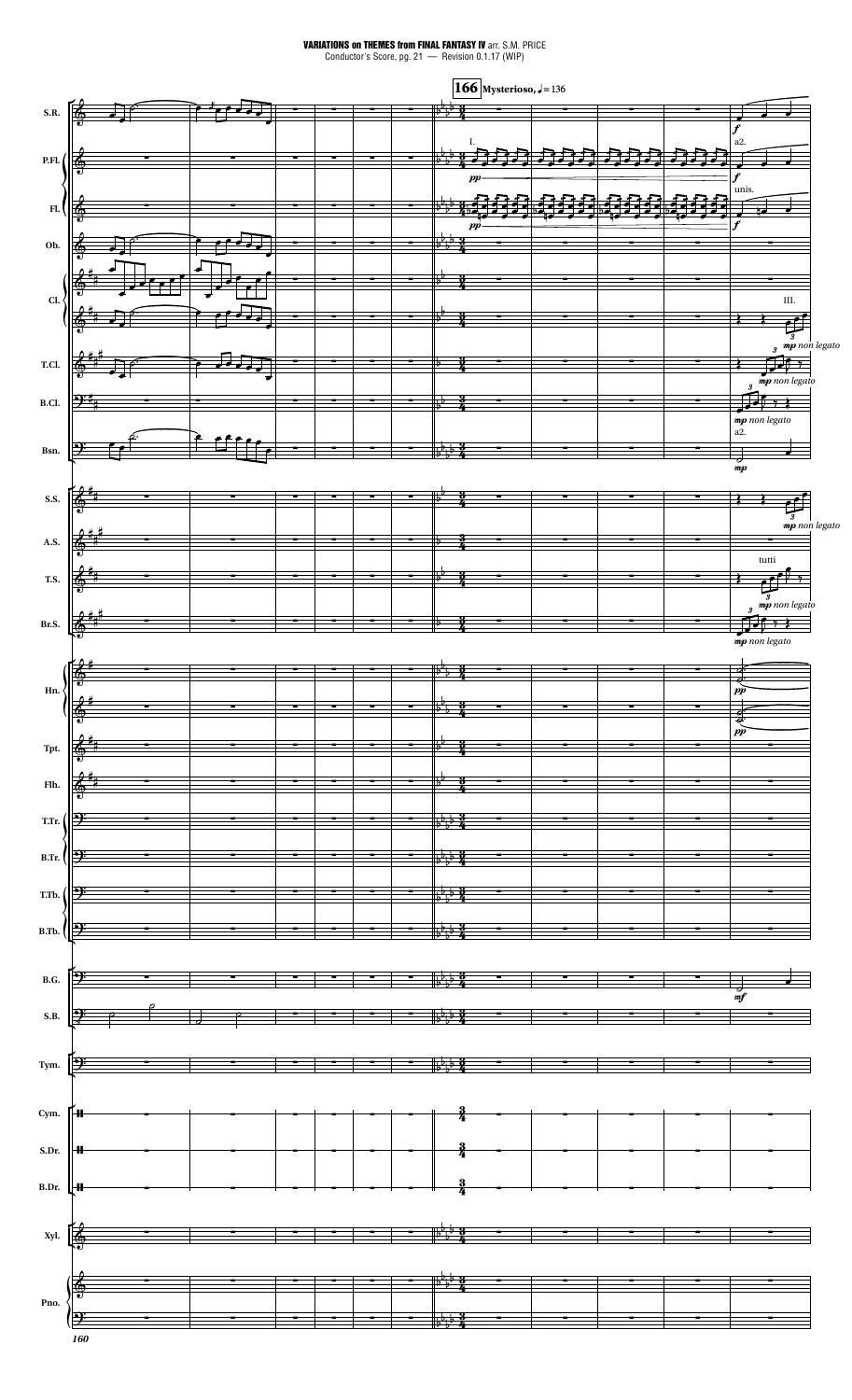# VARIATIONS on THEMES from FINAL FANTASY IV arr. S.M. PRICE Conductor's Score, pg. 21 — Revision 0.1.17 (WIP)

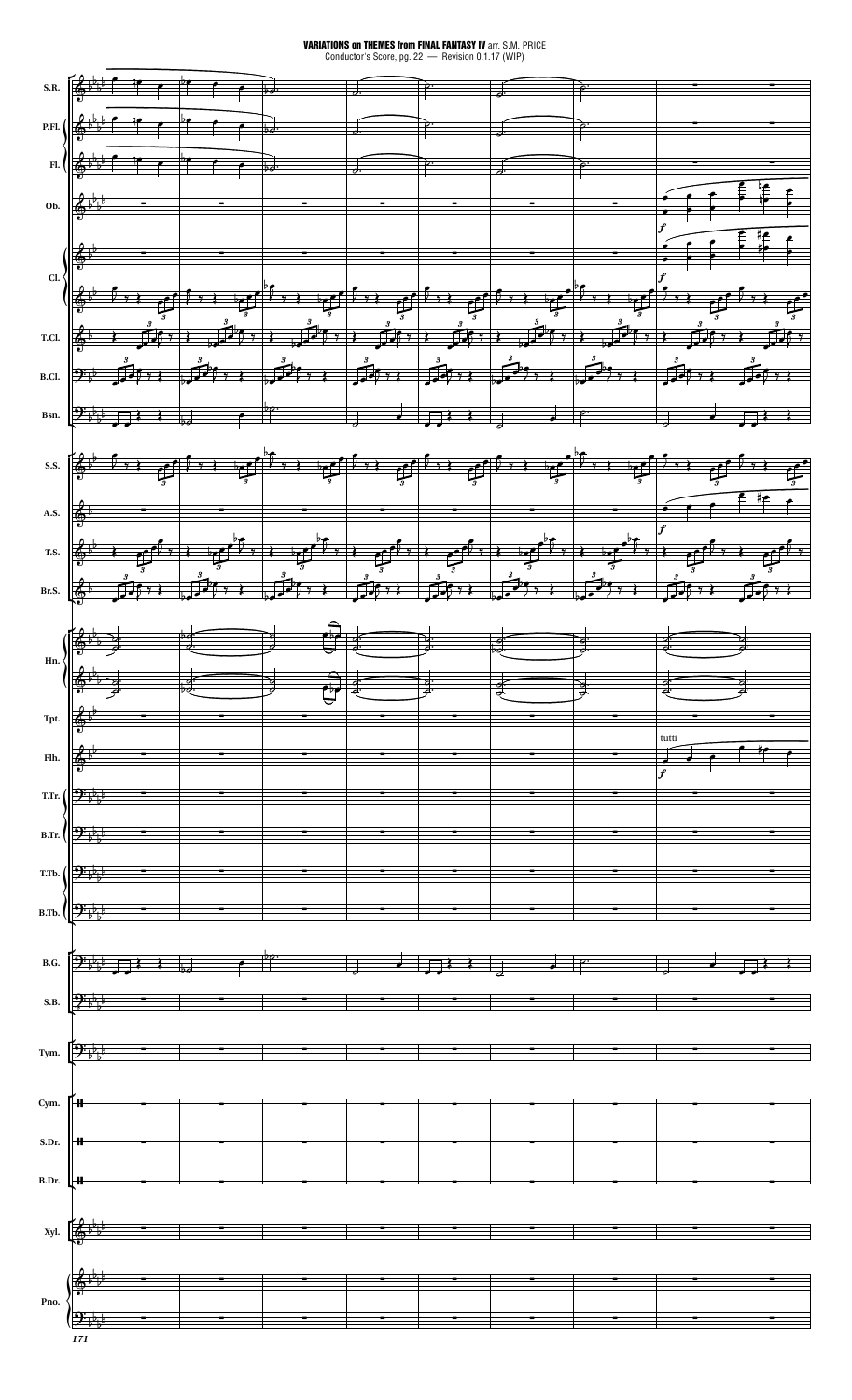# VARIATIONS on THEMES from FINAL FANTASY IV arr. S.M. PRICE Conductor's Score, pg. 22 — Revision 0.1.17 (WIP)

| $S.R.$                                                   |    |                                                                                                                                                                                                                                                                                                                                                                                                 |                 |                          |                                                        |                                |                                                                                                                                                                                                                                                                                                                     |                                                                                                                                                                                                                                                                                                                     |               |                         |               |
|----------------------------------------------------------|----|-------------------------------------------------------------------------------------------------------------------------------------------------------------------------------------------------------------------------------------------------------------------------------------------------------------------------------------------------------------------------------------------------|-----------------|--------------------------|--------------------------------------------------------|--------------------------------|---------------------------------------------------------------------------------------------------------------------------------------------------------------------------------------------------------------------------------------------------------------------------------------------------------------------|---------------------------------------------------------------------------------------------------------------------------------------------------------------------------------------------------------------------------------------------------------------------------------------------------------------------|---------------|-------------------------|---------------|
| P.Fl.                                                    |    |                                                                                                                                                                                                                                                                                                                                                                                                 |                 |                          |                                                        |                                |                                                                                                                                                                                                                                                                                                                     |                                                                                                                                                                                                                                                                                                                     |               |                         |               |
|                                                          |    |                                                                                                                                                                                                                                                                                                                                                                                                 |                 |                          |                                                        |                                |                                                                                                                                                                                                                                                                                                                     |                                                                                                                                                                                                                                                                                                                     |               |                         |               |
| $\mathbf{Fl.}$                                           |    |                                                                                                                                                                                                                                                                                                                                                                                                 |                 | $\overline{\phantom{0}}$ | $\overline{b}$ .                                       |                                |                                                                                                                                                                                                                                                                                                                     |                                                                                                                                                                                                                                                                                                                     |               |                         |               |
|                                                          |    |                                                                                                                                                                                                                                                                                                                                                                                                 |                 |                          |                                                        |                                |                                                                                                                                                                                                                                                                                                                     |                                                                                                                                                                                                                                                                                                                     |               |                         |               |
| Ob.                                                      |    | 500                                                                                                                                                                                                                                                                                                                                                                                             |                 |                          |                                                        |                                |                                                                                                                                                                                                                                                                                                                     |                                                                                                                                                                                                                                                                                                                     |               |                         |               |
|                                                          |    |                                                                                                                                                                                                                                                                                                                                                                                                 |                 |                          |                                                        |                                |                                                                                                                                                                                                                                                                                                                     |                                                                                                                                                                                                                                                                                                                     |               |                         |               |
|                                                          |    |                                                                                                                                                                                                                                                                                                                                                                                                 |                 |                          |                                                        |                                |                                                                                                                                                                                                                                                                                                                     |                                                                                                                                                                                                                                                                                                                     |               |                         |               |
|                                                          |    |                                                                                                                                                                                                                                                                                                                                                                                                 |                 |                          |                                                        |                                |                                                                                                                                                                                                                                                                                                                     |                                                                                                                                                                                                                                                                                                                     |               |                         |               |
| Cl.                                                      |    |                                                                                                                                                                                                                                                                                                                                                                                                 |                 |                          |                                                        |                                |                                                                                                                                                                                                                                                                                                                     |                                                                                                                                                                                                                                                                                                                     |               |                         |               |
|                                                          |    |                                                                                                                                                                                                                                                                                                                                                                                                 | $\mathbb{Z}$    | $\frac{1}{2}$            |                                                        |                                | $\frac{1}{2}$ $\frac{1}{2}$ $\frac{1}{2}$ $\frac{1}{2}$ $\frac{1}{2}$ $\frac{1}{2}$ $\frac{1}{2}$ $\frac{1}{2}$ $\frac{1}{2}$ $\frac{1}{2}$ $\frac{1}{2}$ $\frac{1}{2}$ $\frac{1}{2}$ $\frac{1}{2}$ $\frac{1}{2}$ $\frac{1}{2}$ $\frac{1}{2}$ $\frac{1}{2}$ $\frac{1}{2}$ $\frac{1}{2}$ $\frac{1}{2}$ $\frac{1}{2}$ | $\frac{1}{2}$                                                                                                                                                                                                                                                                                                       | $\frac{b}{3}$ | 毒                       |               |
|                                                          |    |                                                                                                                                                                                                                                                                                                                                                                                                 |                 |                          |                                                        |                                |                                                                                                                                                                                                                                                                                                                     |                                                                                                                                                                                                                                                                                                                     |               |                         | $\frac{1}{3}$ |
| T.Cl.                                                    |    |                                                                                                                                                                                                                                                                                                                                                                                                 |                 |                          |                                                        | $\frac{3}{10}$ , $\frac{1}{3}$ | $\frac{3}{100}$                                                                                                                                                                                                                                                                                                     |                                                                                                                                                                                                                                                                                                                     |               |                         |               |
|                                                          |    |                                                                                                                                                                                                                                                                                                                                                                                                 |                 |                          |                                                        |                                |                                                                                                                                                                                                                                                                                                                     |                                                                                                                                                                                                                                                                                                                     |               |                         |               |
| B.Cl.                                                    |    |                                                                                                                                                                                                                                                                                                                                                                                                 |                 |                          |                                                        | 垂                              |                                                                                                                                                                                                                                                                                                                     |                                                                                                                                                                                                                                                                                                                     |               |                         | $\int$        |
|                                                          |    |                                                                                                                                                                                                                                                                                                                                                                                                 |                 |                          |                                                        |                                |                                                                                                                                                                                                                                                                                                                     |                                                                                                                                                                                                                                                                                                                     |               |                         |               |
| Bsn.                                                     |    |                                                                                                                                                                                                                                                                                                                                                                                                 |                 |                          |                                                        |                                |                                                                                                                                                                                                                                                                                                                     |                                                                                                                                                                                                                                                                                                                     |               |                         |               |
|                                                          |    |                                                                                                                                                                                                                                                                                                                                                                                                 |                 |                          |                                                        |                                |                                                                                                                                                                                                                                                                                                                     |                                                                                                                                                                                                                                                                                                                     |               |                         |               |
|                                                          |    |                                                                                                                                                                                                                                                                                                                                                                                                 |                 |                          |                                                        |                                |                                                                                                                                                                                                                                                                                                                     |                                                                                                                                                                                                                                                                                                                     |               |                         |               |
| s.s. $\frac{1}{2}$                                       |    | 7,                                                                                                                                                                                                                                                                                                                                                                                              |                 | $\frac{1}{\sqrt{2}}$     | $\frac{1}{\sqrt{2}}$<br>$\frac{1}{\sqrt{\frac{3}{2}}}$ |                                |                                                                                                                                                                                                                                                                                                                     | $\frac{1}{2}$ $\frac{1}{2}$ $\frac{1}{2}$ $\frac{1}{2}$ $\frac{1}{2}$ $\frac{1}{2}$ $\frac{1}{2}$ $\frac{1}{2}$ $\frac{1}{2}$ $\frac{1}{2}$ $\frac{1}{2}$ $\frac{1}{2}$ $\frac{1}{2}$ $\frac{1}{2}$ $\frac{1}{2}$ $\frac{1}{2}$ $\frac{1}{2}$ $\frac{1}{2}$ $\frac{1}{2}$ $\frac{1}{2}$ $\frac{1}{2}$ $\frac{1}{2}$ | $\frac{1}{3}$ | 柔                       | $\frac{1}{s}$ |
|                                                          |    |                                                                                                                                                                                                                                                                                                                                                                                                 |                 |                          |                                                        |                                |                                                                                                                                                                                                                                                                                                                     |                                                                                                                                                                                                                                                                                                                     |               |                         |               |
| <b>A.S.</b>                                              |    | $\overline{\Phi}$                                                                                                                                                                                                                                                                                                                                                                               |                 |                          |                                                        |                                |                                                                                                                                                                                                                                                                                                                     |                                                                                                                                                                                                                                                                                                                     |               |                         |               |
|                                                          |    |                                                                                                                                                                                                                                                                                                                                                                                                 |                 |                          |                                                        |                                |                                                                                                                                                                                                                                                                                                                     |                                                                                                                                                                                                                                                                                                                     |               |                         |               |
| T.S.                                                     |    |                                                                                                                                                                                                                                                                                                                                                                                                 | $e^{\sqrt{7}x}$ | $\mathbf{p}$             | $\overline{\mathbf{r}}$                                |                                | $\frac{1}{3}$                                                                                                                                                                                                                                                                                                       | $\frac{1}{3}$                                                                                                                                                                                                                                                                                                       |               | $\frac{1}{\frac{1}{s}}$ |               |
|                                                          |    |                                                                                                                                                                                                                                                                                                                                                                                                 |                 |                          |                                                        |                                |                                                                                                                                                                                                                                                                                                                     |                                                                                                                                                                                                                                                                                                                     |               |                         |               |
| Br.S.                                                    |    |                                                                                                                                                                                                                                                                                                                                                                                                 |                 |                          |                                                        |                                |                                                                                                                                                                                                                                                                                                                     |                                                                                                                                                                                                                                                                                                                     |               |                         |               |
|                                                          |    |                                                                                                                                                                                                                                                                                                                                                                                                 |                 |                          |                                                        |                                |                                                                                                                                                                                                                                                                                                                     |                                                                                                                                                                                                                                                                                                                     |               |                         |               |
|                                                          |    |                                                                                                                                                                                                                                                                                                                                                                                                 |                 |                          |                                                        |                                |                                                                                                                                                                                                                                                                                                                     |                                                                                                                                                                                                                                                                                                                     |               |                         |               |
|                                                          |    |                                                                                                                                                                                                                                                                                                                                                                                                 |                 |                          |                                                        |                                | े.<br>ज                                                                                                                                                                                                                                                                                                             |                                                                                                                                                                                                                                                                                                                     |               |                         |               |
| Hn.                                                      |    |                                                                                                                                                                                                                                                                                                                                                                                                 |                 |                          |                                                        |                                |                                                                                                                                                                                                                                                                                                                     |                                                                                                                                                                                                                                                                                                                     |               |                         |               |
|                                                          |    |                                                                                                                                                                                                                                                                                                                                                                                                 |                 |                          |                                                        |                                |                                                                                                                                                                                                                                                                                                                     |                                                                                                                                                                                                                                                                                                                     |               |                         |               |
|                                                          |    |                                                                                                                                                                                                                                                                                                                                                                                                 |                 | ₽.                       |                                                        |                                | हैं।                                                                                                                                                                                                                                                                                                                |                                                                                                                                                                                                                                                                                                                     |               | $\frac{1}{2}$           |               |
|                                                          |    |                                                                                                                                                                                                                                                                                                                                                                                                 |                 |                          | नी इं<br>U                                             |                                |                                                                                                                                                                                                                                                                                                                     |                                                                                                                                                                                                                                                                                                                     |               |                         |               |
|                                                          |    |                                                                                                                                                                                                                                                                                                                                                                                                 |                 |                          |                                                        |                                |                                                                                                                                                                                                                                                                                                                     |                                                                                                                                                                                                                                                                                                                     |               |                         |               |
| Tpt. $\frac{2}{9}$                                       |    |                                                                                                                                                                                                                                                                                                                                                                                                 |                 |                          |                                                        |                                |                                                                                                                                                                                                                                                                                                                     |                                                                                                                                                                                                                                                                                                                     |               | tutti                   |               |
| Flh. $\frac{2}{9}$                                       |    |                                                                                                                                                                                                                                                                                                                                                                                                 |                 |                          |                                                        |                                |                                                                                                                                                                                                                                                                                                                     |                                                                                                                                                                                                                                                                                                                     |               |                         |               |
|                                                          |    |                                                                                                                                                                                                                                                                                                                                                                                                 |                 |                          |                                                        |                                |                                                                                                                                                                                                                                                                                                                     |                                                                                                                                                                                                                                                                                                                     |               |                         |               |
|                                                          |    |                                                                                                                                                                                                                                                                                                                                                                                                 |                 |                          |                                                        |                                |                                                                                                                                                                                                                                                                                                                     |                                                                                                                                                                                                                                                                                                                     |               |                         |               |
|                                                          |    |                                                                                                                                                                                                                                                                                                                                                                                                 |                 |                          |                                                        |                                |                                                                                                                                                                                                                                                                                                                     |                                                                                                                                                                                                                                                                                                                     |               |                         |               |
|                                                          |    | B.Tr. $\left(\left \frac{\partial F}{\partial y}\right _{y=0}\right)$                                                                                                                                                                                                                                                                                                                           |                 |                          |                                                        |                                |                                                                                                                                                                                                                                                                                                                     |                                                                                                                                                                                                                                                                                                                     |               |                         |               |
|                                                          |    |                                                                                                                                                                                                                                                                                                                                                                                                 |                 |                          |                                                        |                                |                                                                                                                                                                                                                                                                                                                     |                                                                                                                                                                                                                                                                                                                     |               |                         |               |
|                                                          |    | т.ть. $\left( \left  \frac{\partial^2}{\partial t} \right  \right)$                                                                                                                                                                                                                                                                                                                             |                 |                          |                                                        |                                |                                                                                                                                                                                                                                                                                                                     |                                                                                                                                                                                                                                                                                                                     |               |                         |               |
|                                                          |    |                                                                                                                                                                                                                                                                                                                                                                                                 |                 |                          |                                                        |                                |                                                                                                                                                                                                                                                                                                                     |                                                                                                                                                                                                                                                                                                                     |               |                         |               |
|                                                          |    | $\mathbb{P}$                                                                                                                                                                                                                                                                                                                                                                                    |                 |                          |                                                        |                                |                                                                                                                                                                                                                                                                                                                     |                                                                                                                                                                                                                                                                                                                     |               |                         |               |
|                                                          |    |                                                                                                                                                                                                                                                                                                                                                                                                 |                 |                          |                                                        |                                |                                                                                                                                                                                                                                                                                                                     |                                                                                                                                                                                                                                                                                                                     |               |                         |               |
|                                                          |    |                                                                                                                                                                                                                                                                                                                                                                                                 |                 |                          |                                                        |                                |                                                                                                                                                                                                                                                                                                                     |                                                                                                                                                                                                                                                                                                                     |               |                         |               |
|                                                          |    |                                                                                                                                                                                                                                                                                                                                                                                                 |                 |                          |                                                        |                                |                                                                                                                                                                                                                                                                                                                     |                                                                                                                                                                                                                                                                                                                     |               |                         |               |
|                                                          |    | S.B. $\frac{1}{2}$                                                                                                                                                                                                                                                                                                                                                                              |                 |                          |                                                        |                                |                                                                                                                                                                                                                                                                                                                     |                                                                                                                                                                                                                                                                                                                     |               |                         |               |
|                                                          |    |                                                                                                                                                                                                                                                                                                                                                                                                 |                 |                          |                                                        |                                |                                                                                                                                                                                                                                                                                                                     |                                                                                                                                                                                                                                                                                                                     |               |                         |               |
|                                                          |    |                                                                                                                                                                                                                                                                                                                                                                                                 |                 |                          |                                                        |                                |                                                                                                                                                                                                                                                                                                                     |                                                                                                                                                                                                                                                                                                                     |               |                         |               |
|                                                          |    | $\mathbb{P}^+$                                                                                                                                                                                                                                                                                                                                                                                  |                 |                          |                                                        |                                |                                                                                                                                                                                                                                                                                                                     |                                                                                                                                                                                                                                                                                                                     |               |                         |               |
|                                                          |    |                                                                                                                                                                                                                                                                                                                                                                                                 |                 |                          |                                                        |                                |                                                                                                                                                                                                                                                                                                                     |                                                                                                                                                                                                                                                                                                                     |               |                         |               |
|                                                          | ի⊪ |                                                                                                                                                                                                                                                                                                                                                                                                 |                 |                          |                                                        |                                |                                                                                                                                                                                                                                                                                                                     |                                                                                                                                                                                                                                                                                                                     |               |                         |               |
|                                                          |    |                                                                                                                                                                                                                                                                                                                                                                                                 |                 |                          |                                                        |                                |                                                                                                                                                                                                                                                                                                                     |                                                                                                                                                                                                                                                                                                                     |               |                         |               |
|                                                          |    |                                                                                                                                                                                                                                                                                                                                                                                                 |                 |                          |                                                        |                                |                                                                                                                                                                                                                                                                                                                     |                                                                                                                                                                                                                                                                                                                     |               |                         |               |
|                                                          |    |                                                                                                                                                                                                                                                                                                                                                                                                 |                 |                          |                                                        |                                |                                                                                                                                                                                                                                                                                                                     |                                                                                                                                                                                                                                                                                                                     |               |                         |               |
|                                                          |    |                                                                                                                                                                                                                                                                                                                                                                                                 |                 |                          |                                                        |                                |                                                                                                                                                                                                                                                                                                                     |                                                                                                                                                                                                                                                                                                                     |               |                         |               |
|                                                          |    |                                                                                                                                                                                                                                                                                                                                                                                                 |                 |                          |                                                        |                                |                                                                                                                                                                                                                                                                                                                     |                                                                                                                                                                                                                                                                                                                     |               |                         |               |
|                                                          |    |                                                                                                                                                                                                                                                                                                                                                                                                 |                 |                          |                                                        |                                |                                                                                                                                                                                                                                                                                                                     |                                                                                                                                                                                                                                                                                                                     |               |                         |               |
|                                                          |    | $\frac{1}{2}$ xyl. $\left[\frac{1}{2} + \frac{1}{2} + \frac{1}{2} + \frac{1}{2} + \frac{1}{2} + \frac{1}{2} + \frac{1}{2} + \frac{1}{2} + \frac{1}{2} + \frac{1}{2} + \frac{1}{2} + \frac{1}{2} + \frac{1}{2} + \frac{1}{2} + \frac{1}{2} + \frac{1}{2} + \frac{1}{2} + \frac{1}{2} + \frac{1}{2} + \frac{1}{2} + \frac{1}{2} + \frac{1}{2} + \frac{1}{2} + \frac{1}{2} + \frac{1}{2} + \frac{$ |                 |                          |                                                        |                                |                                                                                                                                                                                                                                                                                                                     |                                                                                                                                                                                                                                                                                                                     |               |                         |               |
|                                                          |    |                                                                                                                                                                                                                                                                                                                                                                                                 |                 |                          |                                                        |                                |                                                                                                                                                                                                                                                                                                                     |                                                                                                                                                                                                                                                                                                                     |               |                         |               |
|                                                          |    |                                                                                                                                                                                                                                                                                                                                                                                                 |                 |                          |                                                        |                                |                                                                                                                                                                                                                                                                                                                     |                                                                                                                                                                                                                                                                                                                     |               |                         |               |
|                                                          |    |                                                                                                                                                                                                                                                                                                                                                                                                 |                 |                          |                                                        |                                |                                                                                                                                                                                                                                                                                                                     |                                                                                                                                                                                                                                                                                                                     |               |                         |               |
| T.Tr.<br>B.Tb.<br>Tym.<br>Cym.<br>S.Dr.<br>B.Dr.<br>Pno. |    | $\bigoplus_{i=1}^n \mathbb{Z}_p$                                                                                                                                                                                                                                                                                                                                                                |                 |                          |                                                        |                                |                                                                                                                                                                                                                                                                                                                     |                                                                                                                                                                                                                                                                                                                     |               |                         |               |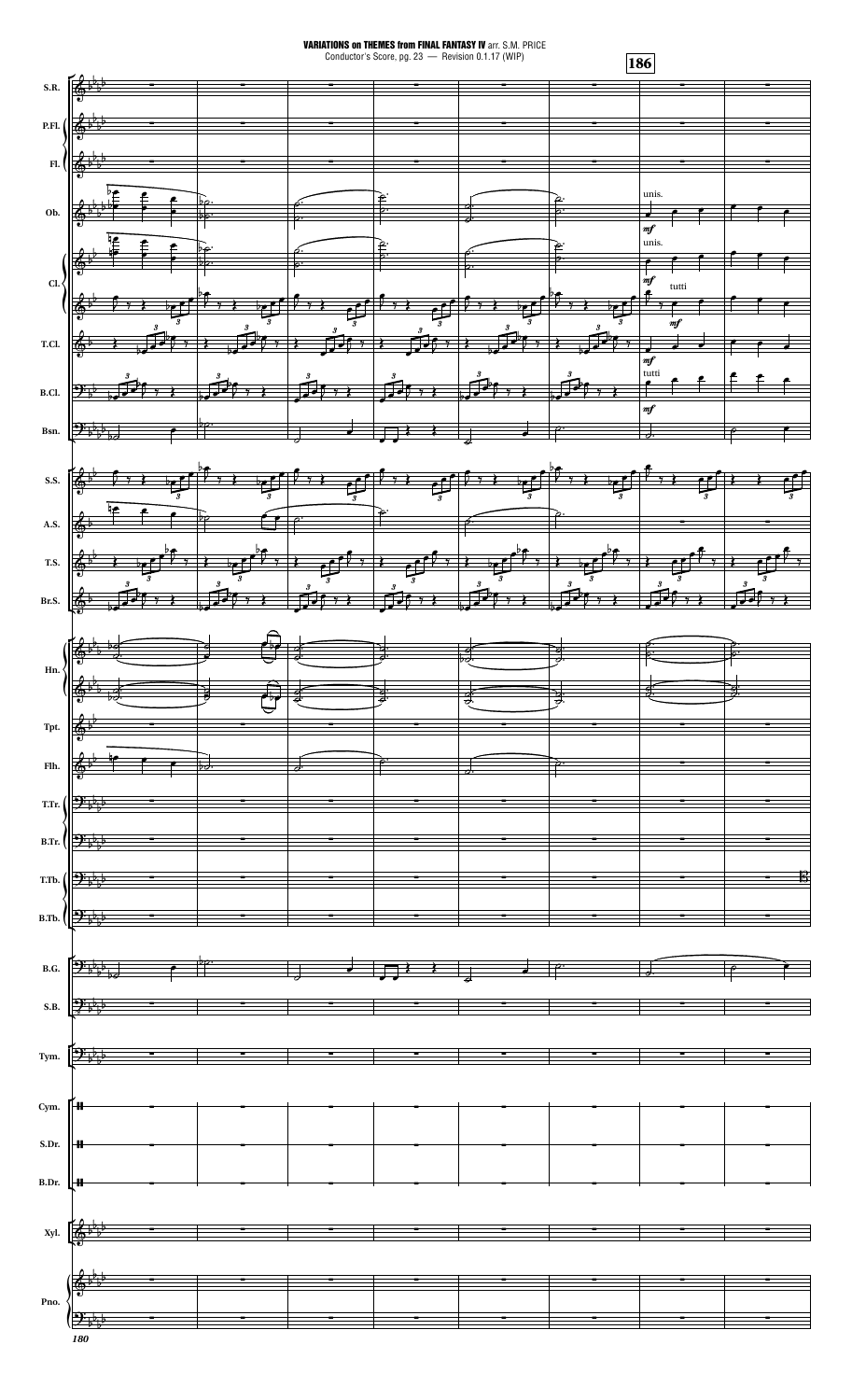# VARIATIONS on THEMES from FINAL FANTASY IV arr. S.M. PRICE Conductor's Score, pg. 23 — Revision 0.1.17 (WIP)

|                                         |                                                                                       |                                                                       |                      |                      |                            |                          | Conductor's Score, pg. 23 - Revision 0.1.17 (WIP) |    |           |              | 186         |       |              |   |
|-----------------------------------------|---------------------------------------------------------------------------------------|-----------------------------------------------------------------------|----------------------|----------------------|----------------------------|--------------------------|---------------------------------------------------|----|-----------|--------------|-------------|-------|--------------|---|
| S.R.                                    |                                                                                       |                                                                       |                      |                      |                            |                          |                                                   |    |           |              |             |       |              |   |
|                                         |                                                                                       |                                                                       |                      |                      |                            |                          |                                                   |    |           |              |             |       |              |   |
| P.Fl.                                   |                                                                                       |                                                                       |                      |                      |                            |                          |                                                   |    |           |              |             |       |              |   |
| Fl.                                     |                                                                                       |                                                                       |                      |                      |                            |                          |                                                   |    |           |              |             |       |              |   |
|                                         |                                                                                       |                                                                       |                      |                      |                            |                          | ₽                                                 |    |           |              | unis.       |       |              |   |
| Ob.                                     |                                                                                       |                                                                       |                      |                      |                            |                          |                                                   |    |           | ₽            |             |       |              |   |
|                                         |                                                                                       |                                                                       |                      |                      |                            |                          |                                                   |    |           |              | mf<br>unis. |       |              |   |
|                                         |                                                                                       |                                                                       |                      | Þθ                   |                            |                          |                                                   |    |           | ₫            |             |       |              |   |
| Cl.                                     |                                                                                       |                                                                       |                      |                      |                            |                          |                                                   |    |           |              | mf          | tutti |              |   |
|                                         |                                                                                       |                                                                       |                      |                      |                            |                          |                                                   |    |           |              |             |       |              |   |
|                                         |                                                                                       |                                                                       |                      |                      |                            |                          |                                                   |    |           |              |             | mf    |              |   |
| T.Cl.                                   |                                                                                       |                                                                       |                      |                      |                            |                          |                                                   |    |           |              | $\it mf$    |       |              |   |
|                                         |                                                                                       |                                                                       |                      |                      |                            |                          |                                                   |    |           |              | tutti       |       |              |   |
| $\mathbf{B}.\mathbf{C} \mathbf{l}.$     |                                                                                       |                                                                       |                      |                      |                            |                          |                                                   |    |           |              |             |       |              |   |
|                                         |                                                                                       |                                                                       |                      |                      |                            |                          |                                                   |    |           |              | m f         |       |              |   |
| Bsn.                                    |                                                                                       |                                                                       |                      |                      |                            |                          |                                                   |    |           |              |             |       |              |   |
|                                         |                                                                                       |                                                                       |                      |                      |                            |                          |                                                   |    |           |              |             |       |              |   |
| <b>S.S.</b>                             |                                                                                       |                                                                       |                      |                      |                            |                          |                                                   |    |           |              |             |       |              |   |
|                                         |                                                                                       |                                                                       |                      |                      |                            |                          |                                                   |    |           |              |             |       |              |   |
| A.S.                                    |                                                                                       |                                                                       |                      |                      |                            |                          |                                                   |    |           |              |             |       |              |   |
| T.S.                                    |                                                                                       |                                                                       |                      |                      |                            |                          |                                                   |    |           |              |             |       |              |   |
| Br.S.                                   |                                                                                       |                                                                       |                      |                      |                            |                          |                                                   |    |           |              |             |       |              |   |
|                                         |                                                                                       |                                                                       |                      |                      |                            |                          |                                                   |    |           |              |             |       |              |   |
|                                         |                                                                                       |                                                                       |                      |                      | $\widehat{\mathbb{P}}$     |                          |                                                   |    |           |              |             |       |              |   |
| $\text{Hn.} \left\langle \right\rangle$ |                                                                                       |                                                                       |                      |                      |                            |                          | প্ৰ                                               |    |           | ন্ব          |             |       |              |   |
|                                         |                                                                                       |                                                                       |                      |                      |                            |                          |                                                   |    |           |              |             |       |              |   |
|                                         |                                                                                       |                                                                       |                      |                      | $\overline{\mathbf{e}}$ be |                          | ञ्जू                                              | J. |           | <u>ञ्चुः</u> |             |       |              |   |
| Tpt.                                    |                                                                                       |                                                                       |                      |                      |                            |                          |                                                   |    |           |              |             |       |              |   |
|                                         |                                                                                       |                                                                       | $\overrightarrow{p}$ |                      |                            |                          | $\dot{\mathbb{P}}$                                |    |           | म्लें        |             |       |              |   |
|                                         | Flh. $\left \frac{2}{9}\right $                                                       |                                                                       |                      |                      |                            | $\overline{\phantom{a}}$ |                                                   |    |           |              |             |       |              |   |
|                                         | T.Tr. $\sqrt{\frac{1}{2} + \frac{1}{2} + \frac{1}{2}}$                                |                                                                       |                      |                      |                            |                          |                                                   |    |           |              |             |       |              |   |
|                                         |                                                                                       |                                                                       |                      |                      |                            |                          |                                                   |    |           |              |             |       |              |   |
|                                         | B.Tr. $\left(\left \frac{\partial^2 \mathbf{F}}{\partial \mathbf{F}}\right ^2\right)$ |                                                                       |                      |                      |                            |                          |                                                   |    |           |              |             |       |              |   |
|                                         |                                                                                       |                                                                       |                      |                      |                            |                          |                                                   |    |           |              |             |       |              | Ь |
| T.Tb.                                   | $\mathfrak{P}_{\mathbb{F}^*}$                                                         |                                                                       |                      |                      |                            |                          |                                                   |    |           |              |             |       |              |   |
|                                         | в.ть. $\sqrt{\frac{1}{2} + \frac{1}{2} + \frac{1}{2}}$                                |                                                                       |                      |                      |                            |                          |                                                   |    |           |              |             |       |              |   |
|                                         |                                                                                       |                                                                       |                      |                      |                            |                          |                                                   |    |           |              |             |       |              |   |
|                                         |                                                                                       | B.G. $\left[\frac{\partial \cdot \phi}{\partial \phi} \right]_{\phi}$ | $\overline{\bullet}$ | $\mathbb{P}^{\circ}$ |                            |                          |                                                   |    | $\bullet$ |              | $\exists$   |       | $\mathbb{P}$ |   |
|                                         |                                                                                       |                                                                       |                      |                      |                            |                          |                                                   |    |           |              |             |       |              |   |
|                                         | S.B. $\frac{1}{2}$                                                                    |                                                                       |                      |                      |                            |                          |                                                   |    |           |              |             |       |              |   |
|                                         |                                                                                       |                                                                       |                      |                      |                            |                          |                                                   |    |           |              |             |       |              |   |
| Tym.                                    | $\mathbb{P}^{\downarrow}$                                                             |                                                                       |                      |                      |                            |                          |                                                   |    |           |              |             |       |              |   |
|                                         |                                                                                       |                                                                       |                      |                      |                            |                          |                                                   |    |           |              |             |       |              |   |
| Cym.                                    | ſ₩                                                                                    |                                                                       |                      |                      |                            |                          |                                                   |    |           |              |             |       |              |   |
|                                         |                                                                                       |                                                                       |                      |                      |                            |                          |                                                   |    |           |              |             |       |              |   |
| S.Dr.                                   | ╟╫                                                                                    |                                                                       |                      |                      |                            |                          |                                                   |    |           |              |             |       |              |   |
|                                         | B.Dr. $\ \cdot\ $                                                                     |                                                                       |                      |                      |                            |                          |                                                   |    |           |              |             |       |              |   |
|                                         |                                                                                       |                                                                       |                      |                      |                            |                          |                                                   |    |           |              |             |       |              |   |
|                                         |                                                                                       |                                                                       |                      |                      |                            |                          |                                                   |    |           |              |             |       |              |   |
|                                         | $\frac{1}{2}$ Xyl. $\left[\frac{1}{2} + \frac{1}{2} + \frac{1}{2}\right]$             |                                                                       | 专                    | $\mathbf{r}$         |                            | Ξ                        |                                                   |    |           |              |             |       |              |   |
|                                         |                                                                                       |                                                                       |                      |                      |                            |                          |                                                   |    |           |              |             |       |              |   |
|                                         | $\frac{1}{2}$                                                                         |                                                                       |                      |                      |                            |                          |                                                   |    |           |              |             |       |              |   |
| Pno. $\left\{$                          |                                                                                       |                                                                       |                      |                      |                            |                          |                                                   |    |           |              |             |       |              |   |
|                                         | $9 + $<br>${\bf 180}$                                                                 |                                                                       |                      |                      |                            |                          |                                                   |    |           |              |             |       |              |   |
|                                         |                                                                                       |                                                                       |                      |                      |                            |                          |                                                   |    |           |              |             |       |              |   |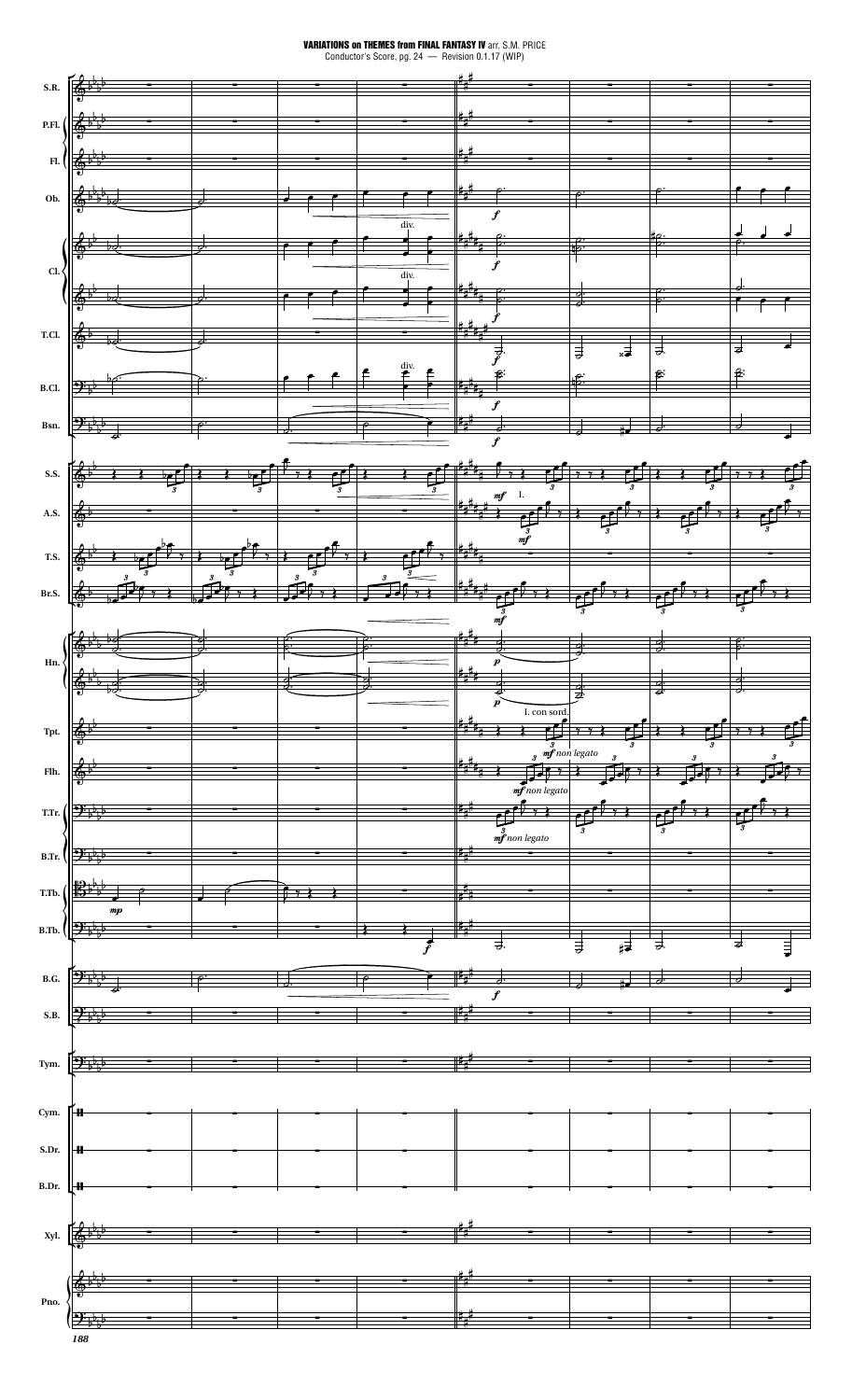# VARIATIONS on THEMES from FINAL FANTASY IV arr. S.M. PRICE Conductor's Score, pg. 24 — Revision 0.1.17 (WIP)



**188**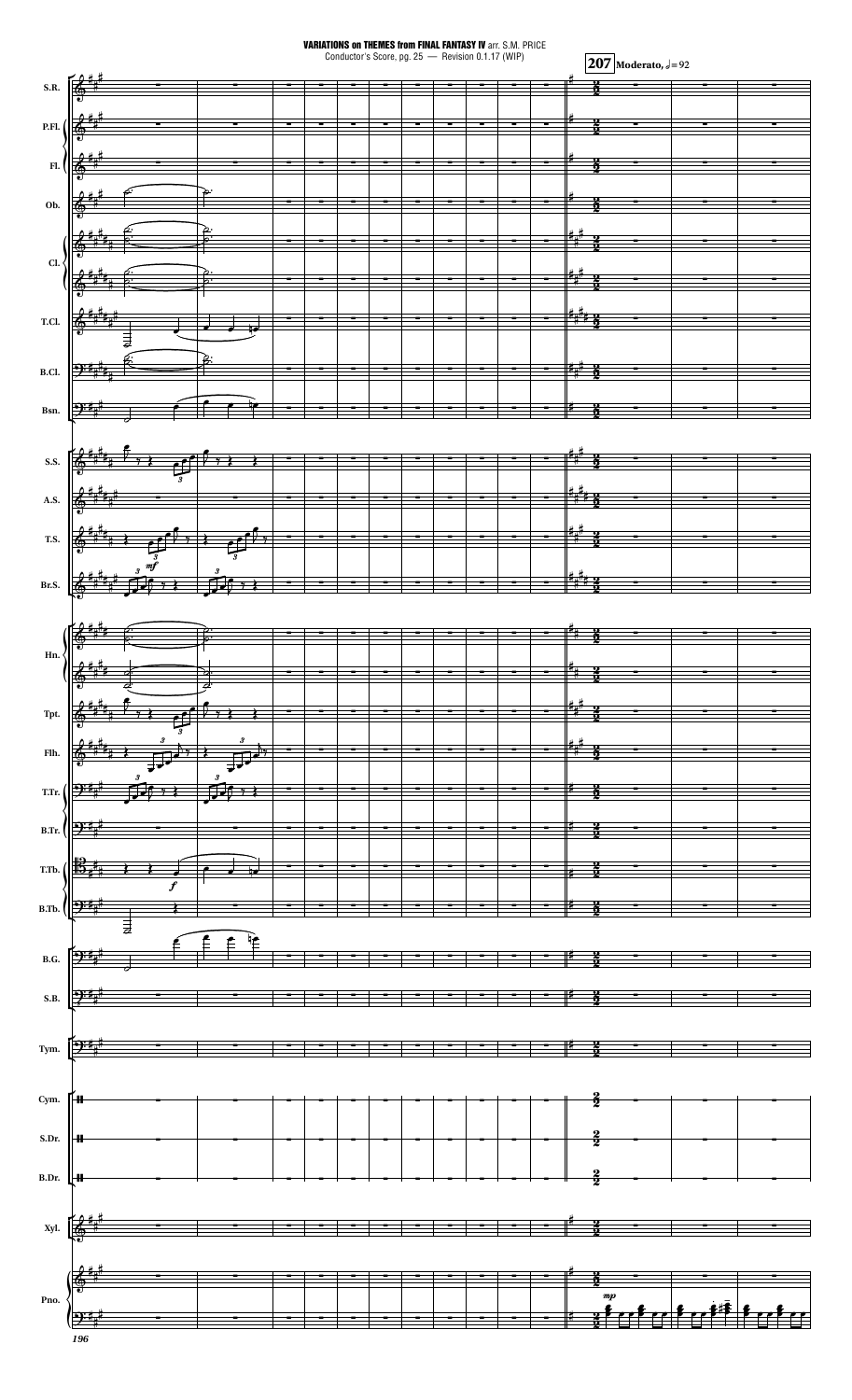# VARIATIONS on THEMES from FINAL FANTASY IV arr. S.M. PRICE Conductor's Score, pg. 25 — Revision 0.1.17 (WIP)



|                                                   |                                                        |                      |                                                         |                          |                          |   |   |                            |          |          |                           | <b>ZU</b> /   Moderato, $J=92$ |                                                                                                                    |  |
|---------------------------------------------------|--------------------------------------------------------|----------------------|---------------------------------------------------------|--------------------------|--------------------------|---|---|----------------------------|----------|----------|---------------------------|--------------------------------|--------------------------------------------------------------------------------------------------------------------|--|
| S.R.                                              |                                                        |                      |                                                         |                          |                          |   |   |                            |          |          |                           |                                |                                                                                                                    |  |
|                                                   |                                                        |                      |                                                         |                          |                          |   |   |                            |          |          |                           |                                |                                                                                                                    |  |
| P.Fl.                                             |                                                        |                      |                                                         |                          |                          |   |   |                            |          |          |                           |                                |                                                                                                                    |  |
|                                                   |                                                        |                      |                                                         |                          |                          |   |   |                            |          |          |                           |                                |                                                                                                                    |  |
| Fl.                                               |                                                        |                      |                                                         |                          |                          |   |   |                            |          |          |                           |                                |                                                                                                                    |  |
|                                                   |                                                        |                      |                                                         |                          |                          |   |   |                            |          |          |                           |                                |                                                                                                                    |  |
| Ob.                                               |                                                        |                      |                                                         |                          |                          |   |   |                            |          |          |                           |                                |                                                                                                                    |  |
|                                                   |                                                        |                      |                                                         |                          |                          |   |   |                            |          |          |                           |                                |                                                                                                                    |  |
|                                                   |                                                        |                      |                                                         |                          |                          |   |   |                            |          |          |                           |                                |                                                                                                                    |  |
| Cl.                                               |                                                        |                      |                                                         |                          |                          |   |   |                            |          |          |                           |                                |                                                                                                                    |  |
|                                                   |                                                        |                      |                                                         |                          |                          |   |   |                            |          |          |                           |                                |                                                                                                                    |  |
|                                                   |                                                        |                      |                                                         |                          |                          |   |   |                            |          |          |                           |                                |                                                                                                                    |  |
| T.Cl.                                             |                                                        |                      |                                                         |                          |                          |   |   |                            |          |          |                           |                                |                                                                                                                    |  |
|                                                   | $\exists$                                              |                      |                                                         |                          |                          |   |   |                            |          |          |                           |                                |                                                                                                                    |  |
|                                                   |                                                        |                      |                                                         |                          |                          |   |   |                            |          |          |                           |                                |                                                                                                                    |  |
| B.C.                                              | <b>9 掃</b>                                             |                      |                                                         |                          |                          |   |   |                            |          |          | क्ति                      |                                |                                                                                                                    |  |
|                                                   |                                                        |                      |                                                         |                          |                          |   |   |                            |          |          |                           |                                |                                                                                                                    |  |
| Bsn.                                              |                                                        |                      |                                                         |                          |                          |   |   |                            |          |          |                           |                                |                                                                                                                    |  |
|                                                   |                                                        |                      |                                                         |                          |                          |   |   |                            |          |          |                           |                                |                                                                                                                    |  |
|                                                   |                                                        |                      |                                                         |                          |                          |   |   |                            |          |          |                           |                                |                                                                                                                    |  |
| <b>s.s.</b>                                       |                                                        | $\frac{1}{s}$        |                                                         |                          |                          |   |   |                            |          |          |                           |                                |                                                                                                                    |  |
|                                                   |                                                        |                      |                                                         |                          |                          |   |   |                            |          |          |                           |                                |                                                                                                                    |  |
| A.S.                                              |                                                        |                      |                                                         |                          |                          |   |   |                            |          |          |                           |                                |                                                                                                                    |  |
|                                                   |                                                        |                      |                                                         |                          |                          |   |   |                            |          |          |                           |                                |                                                                                                                    |  |
| <b>T.S.</b>                                       |                                                        |                      |                                                         |                          |                          |   |   |                            |          |          |                           |                                |                                                                                                                    |  |
|                                                   |                                                        |                      | $\begin{array}{c} \overline{\\ \bullet \end{array}$     |                          |                          |   |   |                            |          |          |                           |                                |                                                                                                                    |  |
|                                                   |                                                        | $\boldsymbol{\beta}$ | $\int_0^3$                                              |                          |                          |   |   |                            |          |          |                           |                                |                                                                                                                    |  |
| $\frac{1}{2}$ Br.S.                               |                                                        |                      |                                                         |                          |                          |   |   |                            |          |          |                           |                                |                                                                                                                    |  |
|                                                   |                                                        |                      |                                                         |                          |                          |   |   |                            |          |          |                           |                                |                                                                                                                    |  |
|                                                   |                                                        |                      |                                                         |                          |                          |   |   |                            |          |          |                           |                                |                                                                                                                    |  |
| Hn.                                               |                                                        |                      |                                                         |                          |                          |   |   |                            |          |          |                           |                                |                                                                                                                    |  |
|                                                   |                                                        |                      | ষ                                                       |                          |                          |   |   |                            |          |          |                           |                                |                                                                                                                    |  |
|                                                   |                                                        |                      |                                                         |                          |                          |   |   |                            |          |          |                           |                                |                                                                                                                    |  |
|                                                   |                                                        |                      |                                                         |                          |                          |   |   |                            |          |          |                           |                                |                                                                                                                    |  |
| Tpt.                                              |                                                        |                      | $\frac{77}{100}$                                        |                          |                          |   |   |                            |          |          |                           |                                |                                                                                                                    |  |
|                                                   |                                                        |                      |                                                         |                          |                          |   |   |                            |          |          |                           |                                |                                                                                                                    |  |
| F <sub>lh</sub>                                   |                                                        |                      |                                                         | $\overline{\phantom{a}}$ | $\overline{\phantom{a}}$ | Ξ | Ξ |                            |          |          |                           |                                |                                                                                                                    |  |
|                                                   |                                                        |                      |                                                         |                          |                          |   |   |                            |          |          |                           |                                |                                                                                                                    |  |
| T.Tr.                                             |                                                        | 7 <sup>2</sup>       | $\frac{3}{2}$ $\frac{3}{2}$ $\frac{3}{2}$ $\frac{3}{2}$ |                          |                          |   |   |                            |          |          |                           |                                |                                                                                                                    |  |
|                                                   |                                                        |                      |                                                         |                          |                          |   |   |                            |          |          |                           |                                |                                                                                                                    |  |
| B.Tr.                                             |                                                        |                      |                                                         |                          |                          |   |   |                            |          |          |                           |                                |                                                                                                                    |  |
|                                                   |                                                        |                      |                                                         |                          |                          |   |   |                            |          |          |                           |                                |                                                                                                                    |  |
| T.Tb.                                             | 膨舞                                                     |                      |                                                         |                          |                          |   |   |                            |          |          |                           |                                |                                                                                                                    |  |
|                                                   |                                                        |                      |                                                         |                          |                          |   |   |                            |          |          |                           |                                |                                                                                                                    |  |
| B.Tb.                                             |                                                        |                      |                                                         |                          |                          |   |   |                            |          |          |                           |                                |                                                                                                                    |  |
|                                                   | $\frac{1}{2}$                                          |                      |                                                         |                          |                          |   |   |                            |          |          |                           |                                |                                                                                                                    |  |
| <b>B.G.</b>                                       | ∣⊃∺#                                                   |                      | $f \circ f$                                             | $\overline{\phantom{a}}$ |                          |   |   |                            |          |          |                           |                                |                                                                                                                    |  |
|                                                   |                                                        |                      |                                                         |                          |                          |   |   |                            |          |          |                           |                                |                                                                                                                    |  |
|                                                   |                                                        |                      |                                                         |                          |                          |   |   |                            |          |          |                           |                                |                                                                                                                    |  |
| S.B.                                              | $ 2+1 $                                                |                      |                                                         |                          |                          |   |   |                            |          |          |                           |                                |                                                                                                                    |  |
|                                                   |                                                        |                      |                                                         |                          |                          |   |   |                            |          |          |                           |                                |                                                                                                                    |  |
| Tym.                                              | [9:4]                                                  |                      |                                                         |                          |                          |   |   |                            |          |          |                           |                                |                                                                                                                    |  |
|                                                   |                                                        |                      |                                                         |                          |                          |   |   |                            |          |          |                           |                                |                                                                                                                    |  |
|                                                   |                                                        |                      |                                                         |                          |                          |   |   |                            |          |          |                           |                                |                                                                                                                    |  |
| Cym. $\left[\begin{array}{cc} \end{array}\right]$ |                                                        |                      |                                                         |                          |                          |   |   |                            |          |          |                           | $\frac{2}{2}$                  |                                                                                                                    |  |
|                                                   |                                                        |                      |                                                         |                          |                          |   |   |                            |          |          |                           |                                |                                                                                                                    |  |
| S.Dr.                                             | ╫                                                      |                      |                                                         |                          |                          |   |   |                            |          |          |                           | $\frac{2}{2}$                  |                                                                                                                    |  |
|                                                   |                                                        |                      |                                                         |                          |                          |   |   |                            |          |          |                           |                                |                                                                                                                    |  |
| B.Dr.                                             | լ⊦ա                                                    |                      |                                                         |                          |                          |   |   |                            |          |          |                           |                                |                                                                                                                    |  |
|                                                   |                                                        |                      |                                                         |                          |                          |   |   |                            |          |          |                           |                                |                                                                                                                    |  |
|                                                   |                                                        |                      |                                                         |                          |                          |   |   |                            |          |          |                           |                                |                                                                                                                    |  |
|                                                   | $Xyl.$ $\left[\bigoplus_{i=1}^{n} \frac{1}{i} \right]$ |                      |                                                         | F                        |                          |   |   |                            |          |          |                           |                                |                                                                                                                    |  |
|                                                   |                                                        |                      |                                                         |                          |                          |   |   |                            |          |          |                           |                                |                                                                                                                    |  |
|                                                   |                                                        |                      |                                                         |                          |                          |   |   |                            |          |          |                           |                                |                                                                                                                    |  |
|                                                   |                                                        |                      |                                                         |                          |                          |   |   |                            |          |          |                           |                                |                                                                                                                    |  |
| Pno.                                              |                                                        |                      |                                                         |                          |                          |   |   |                            |          |          |                           | $\mathfrak{m}p$                |                                                                                                                    |  |
|                                                   | ( <del>): [[</del>                                     |                      |                                                         | ⋍                        |                          |   |   | <del>- - - - - - - -</del> | <u>—</u> | <u>—</u> | $\parallel$ $\frac{1}{2}$ |                                | $\frac{1}{2}$ of $\frac{1}{2}$ $\frac{1}{2}$ $\frac{1}{2}$ $\frac{1}{2}$ $\frac{1}{2}$ $\frac{1}{2}$ $\frac{1}{2}$ |  |
|                                                   | 196                                                    |                      |                                                         |                          |                          |   |   |                            |          |          |                           |                                |                                                                                                                    |  |
|                                                   |                                                        |                      |                                                         |                          |                          |   |   |                            |          |          |                           |                                |                                                                                                                    |  |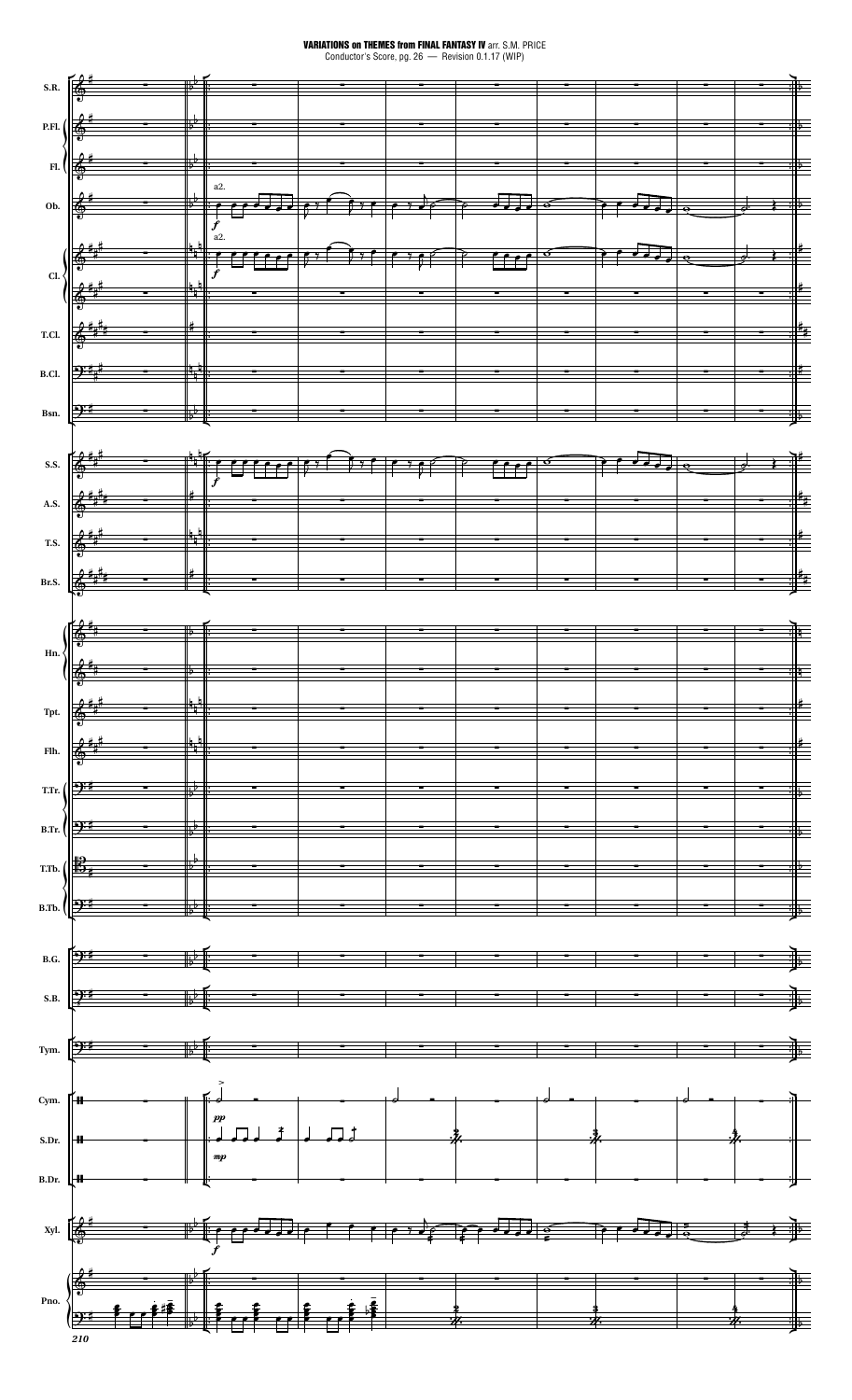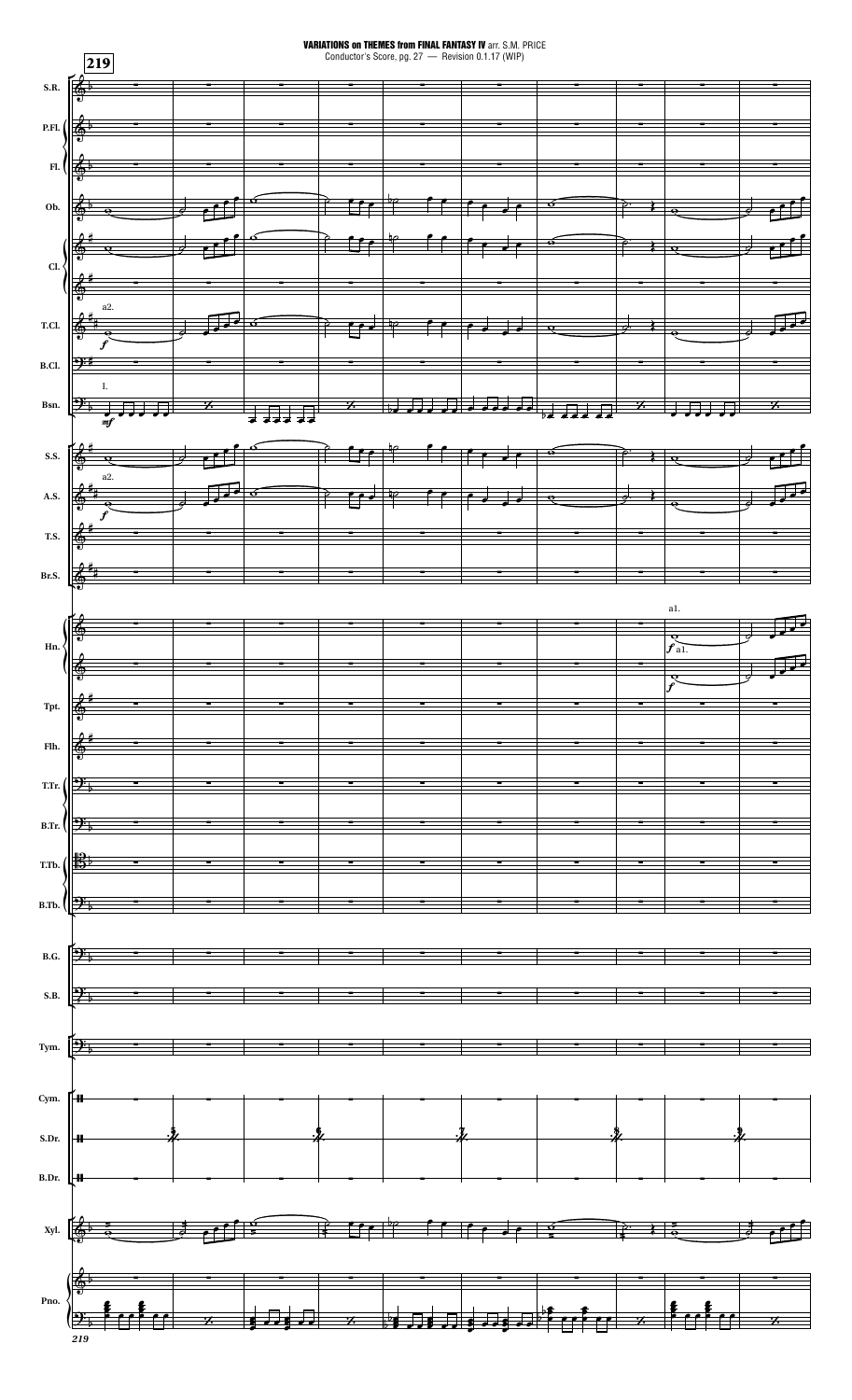

**219**

# VARIATIONS on THEMES from FINAL FANTASY IV arr. S.M. PRICE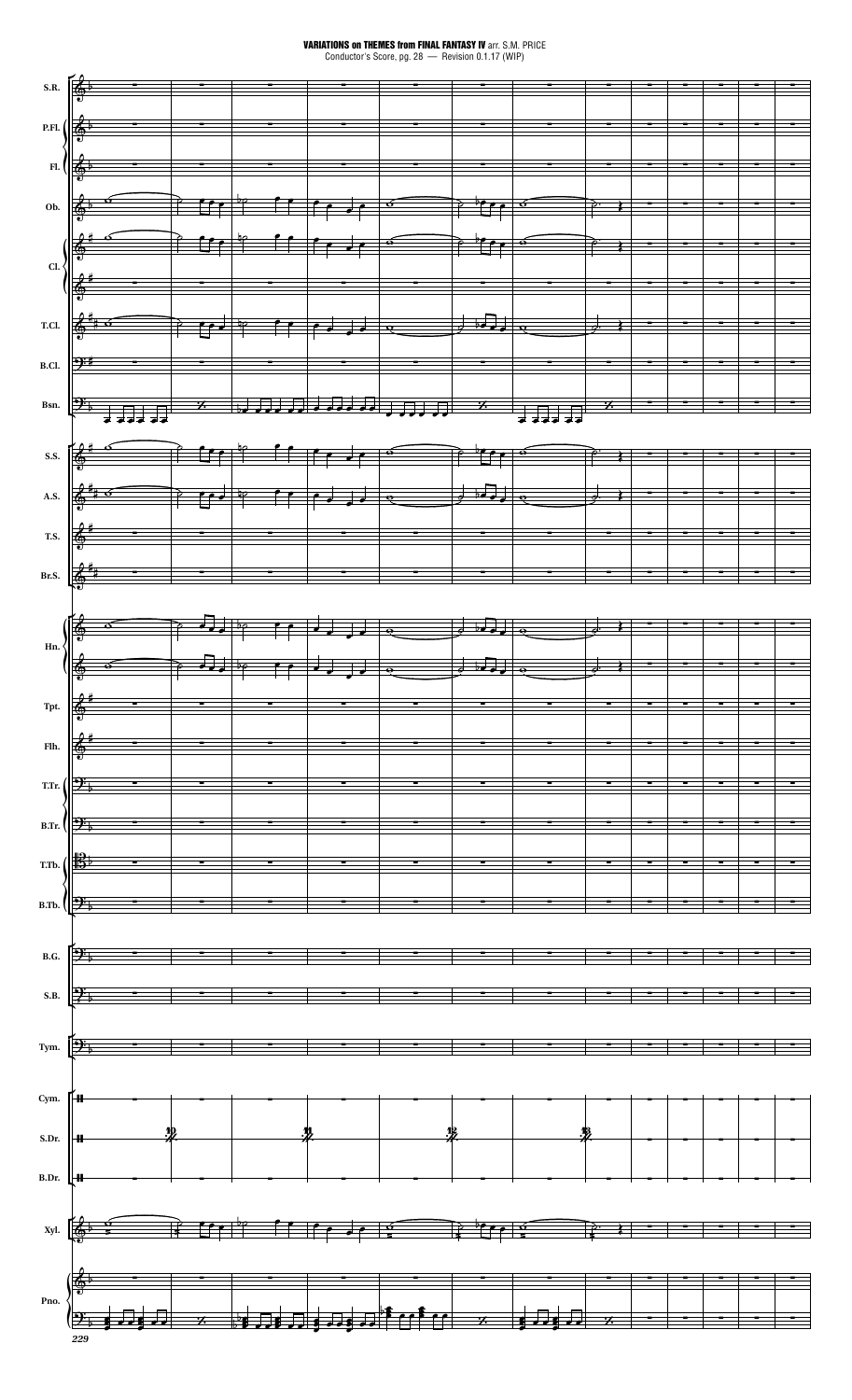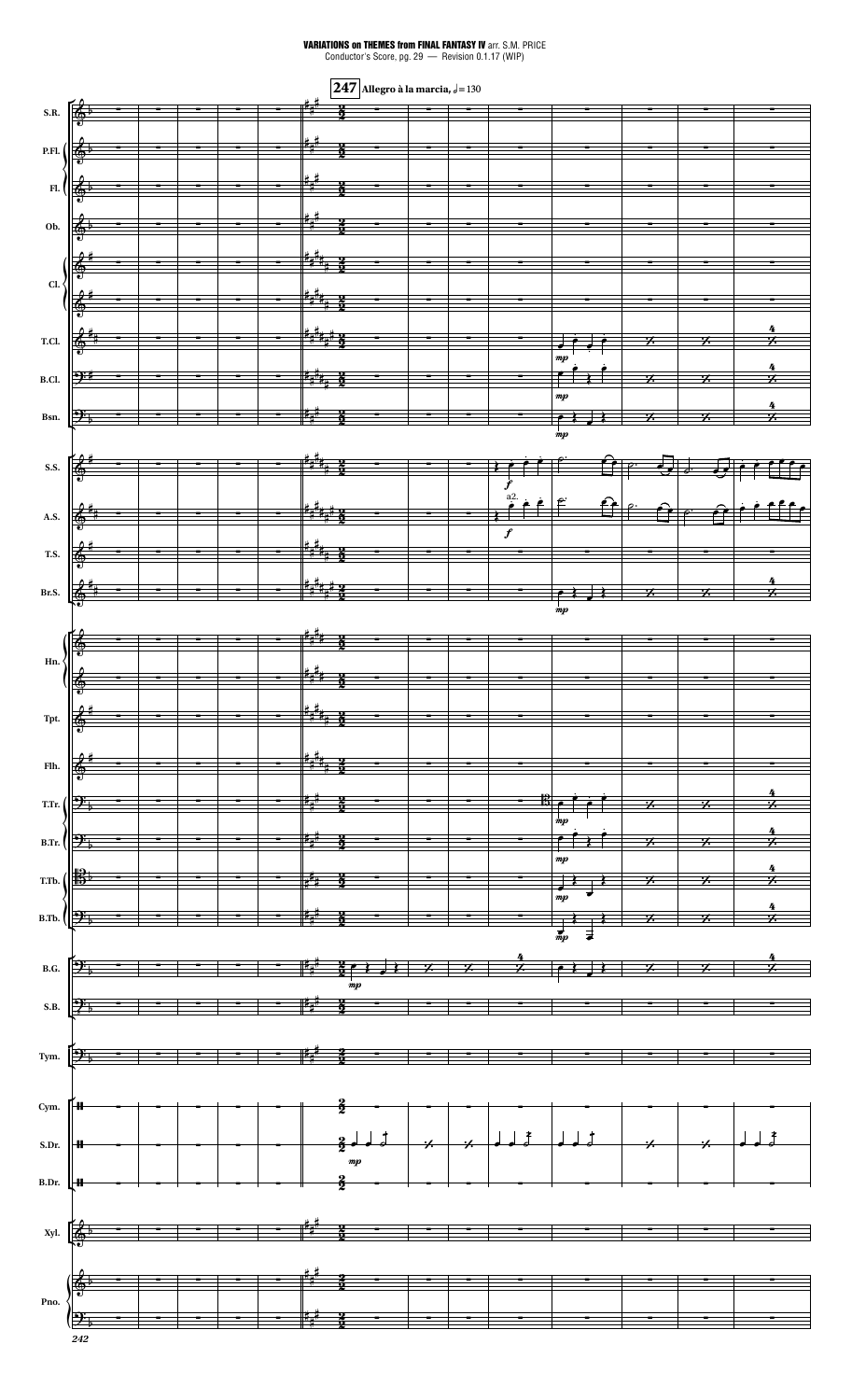![](_page_28_Figure_1.jpeg)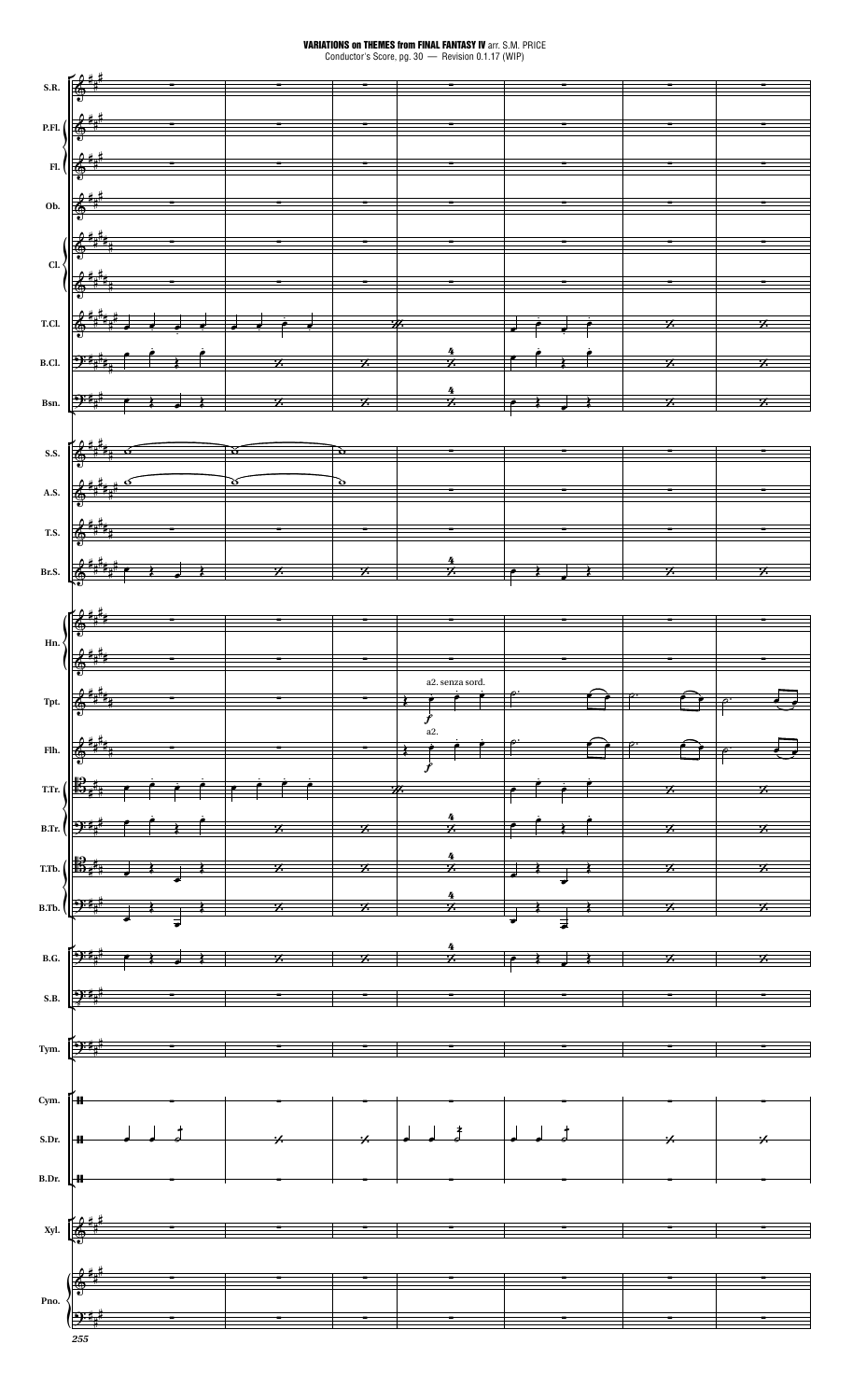|                                               |                                                                                   |                                                                                                                                                                                                                                                                                                                                                                                                                                 |    | <b>VARIATIONS on THEMES from FINAL FANTASY IV arr. S.M. PRICE</b><br>Conductor's Score, pg. 30 - Revision 0.1.17 (WIP) |                          |                                                                                                                                                                                                                                                                                                                                                                             |                          |
|-----------------------------------------------|-----------------------------------------------------------------------------------|---------------------------------------------------------------------------------------------------------------------------------------------------------------------------------------------------------------------------------------------------------------------------------------------------------------------------------------------------------------------------------------------------------------------------------|----|------------------------------------------------------------------------------------------------------------------------|--------------------------|-----------------------------------------------------------------------------------------------------------------------------------------------------------------------------------------------------------------------------------------------------------------------------------------------------------------------------------------------------------------------------|--------------------------|
| S.R.                                          |                                                                                   |                                                                                                                                                                                                                                                                                                                                                                                                                                 |    |                                                                                                                        |                          |                                                                                                                                                                                                                                                                                                                                                                             |                          |
| P.Fl                                          |                                                                                   |                                                                                                                                                                                                                                                                                                                                                                                                                                 |    |                                                                                                                        |                          |                                                                                                                                                                                                                                                                                                                                                                             |                          |
|                                               |                                                                                   |                                                                                                                                                                                                                                                                                                                                                                                                                                 |    |                                                                                                                        |                          |                                                                                                                                                                                                                                                                                                                                                                             |                          |
| F1                                            |                                                                                   |                                                                                                                                                                                                                                                                                                                                                                                                                                 |    |                                                                                                                        |                          |                                                                                                                                                                                                                                                                                                                                                                             |                          |
| Ob.                                           |                                                                                   |                                                                                                                                                                                                                                                                                                                                                                                                                                 |    |                                                                                                                        |                          |                                                                                                                                                                                                                                                                                                                                                                             |                          |
| Cl.                                           |                                                                                   |                                                                                                                                                                                                                                                                                                                                                                                                                                 |    |                                                                                                                        |                          |                                                                                                                                                                                                                                                                                                                                                                             |                          |
|                                               |                                                                                   |                                                                                                                                                                                                                                                                                                                                                                                                                                 |    |                                                                                                                        |                          |                                                                                                                                                                                                                                                                                                                                                                             |                          |
| T.Cl.                                         |                                                                                   |                                                                                                                                                                                                                                                                                                                                                                                                                                 |    |                                                                                                                        |                          |                                                                                                                                                                                                                                                                                                                                                                             |                          |
| B.Cl.                                         |                                                                                   |                                                                                                                                                                                                                                                                                                                                                                                                                                 | Ÿ. |                                                                                                                        |                          |                                                                                                                                                                                                                                                                                                                                                                             |                          |
| Bsn.                                          |                                                                                   |                                                                                                                                                                                                                                                                                                                                                                                                                                 |    |                                                                                                                        |                          |                                                                                                                                                                                                                                                                                                                                                                             |                          |
|                                               |                                                                                   |                                                                                                                                                                                                                                                                                                                                                                                                                                 |    |                                                                                                                        |                          |                                                                                                                                                                                                                                                                                                                                                                             |                          |
| <b>s.s.</b>                                   |                                                                                   |                                                                                                                                                                                                                                                                                                                                                                                                                                 |    |                                                                                                                        |                          |                                                                                                                                                                                                                                                                                                                                                                             |                          |
| A.S.                                          |                                                                                   |                                                                                                                                                                                                                                                                                                                                                                                                                                 |    |                                                                                                                        |                          |                                                                                                                                                                                                                                                                                                                                                                             |                          |
| T.S.                                          |                                                                                   |                                                                                                                                                                                                                                                                                                                                                                                                                                 |    |                                                                                                                        |                          |                                                                                                                                                                                                                                                                                                                                                                             |                          |
| Br.S.                                         |                                                                                   |                                                                                                                                                                                                                                                                                                                                                                                                                                 |    |                                                                                                                        |                          |                                                                                                                                                                                                                                                                                                                                                                             |                          |
|                                               |                                                                                   |                                                                                                                                                                                                                                                                                                                                                                                                                                 |    |                                                                                                                        |                          |                                                                                                                                                                                                                                                                                                                                                                             |                          |
| Hn.                                           |                                                                                   |                                                                                                                                                                                                                                                                                                                                                                                                                                 |    |                                                                                                                        |                          |                                                                                                                                                                                                                                                                                                                                                                             |                          |
|                                               |                                                                                   |                                                                                                                                                                                                                                                                                                                                                                                                                                 |    |                                                                                                                        |                          |                                                                                                                                                                                                                                                                                                                                                                             |                          |
|                                               |                                                                                   |                                                                                                                                                                                                                                                                                                                                                                                                                                 |    |                                                                                                                        |                          |                                                                                                                                                                                                                                                                                                                                                                             |                          |
|                                               | Tpt. $\frac{1}{2}$                                                                |                                                                                                                                                                                                                                                                                                                                                                                                                                 |    | a2. senza sord.                                                                                                        | $\overline{\phantom{a}}$ | $\int_{0}^{\infty}$<br>$\overline{\phantom{a}}$                                                                                                                                                                                                                                                                                                                             |                          |
|                                               |                                                                                   |                                                                                                                                                                                                                                                                                                                                                                                                                                 |    |                                                                                                                        |                          |                                                                                                                                                                                                                                                                                                                                                                             |                          |
|                                               | Flh. $\frac{2}{6}$<br>$\mathbf{r}$                                                | $\frac{1}{\sqrt{1-\frac{1}{2}}}\frac{1}{\sqrt{1-\frac{1}{2}}}\frac{1}{\sqrt{1-\frac{1}{2}}}\frac{1}{\sqrt{1-\frac{1}{2}}}\frac{1}{\sqrt{1-\frac{1}{2}}}\frac{1}{\sqrt{1-\frac{1}{2}}}\frac{1}{\sqrt{1-\frac{1}{2}}}\frac{1}{\sqrt{1-\frac{1}{2}}}\frac{1}{\sqrt{1-\frac{1}{2}}}\frac{1}{\sqrt{1-\frac{1}{2}}}\frac{1}{\sqrt{1-\frac{1}{2}}}\frac{1}{\sqrt{1-\frac{1}{2}}}\frac{1}{\sqrt{1-\frac{1}{2}}}\frac{1}{\sqrt{1-\frac{$ |    | $\frac{a_2}{\sqrt{a_1^2+a_2^2}}$                                                                                       | $\mathcal{C}$            | $\begin{picture}(20,20) \put(0,0){\vector(1,0){10}} \put(15,0){\vector(1,0){10}} \put(15,0){\vector(1,0){10}} \put(15,0){\vector(1,0){10}} \put(15,0){\vector(1,0){10}} \put(15,0){\vector(1,0){10}} \put(15,0){\vector(1,0){10}} \put(15,0){\vector(1,0){10}} \put(15,0){\vector(1,0){10}} \put(15,0){\vector(1,0){10}} \put(15,0){\vector(1,0){10}} \put(15,0){\vector(1$ |                          |
| T.Tr.                                         | 膨弄                                                                                |                                                                                                                                                                                                                                                                                                                                                                                                                                 |    |                                                                                                                        |                          | $\frac{1}{2}$                                                                                                                                                                                                                                                                                                                                                               | <u>'/ </u>               |
|                                               | B.Tr.                                                                             | $\frac{1}{2}$ $\frac{1}{2}$ $\frac{1}{2}$ $\frac{1}{2}$ $\frac{1}{2}$ $\frac{1}{2}$ $\frac{1}{2}$ $\frac{1}{2}$ $\frac{1}{2}$ $\frac{1}{2}$ $\frac{1}{2}$ $\frac{1}{2}$ $\frac{1}{2}$ $\frac{1}{2}$ $\frac{1}{2}$ $\frac{1}{2}$ $\frac{1}{2}$ $\frac{1}{2}$ $\frac{1}{2}$ $\frac{1}{2}$ $\frac{1}{2}$ $\frac{1}{2}$                                                                                                             |    | $\frac{4}{7}$                                                                                                          | 聿                        |                                                                                                                                                                                                                                                                                                                                                                             | $\overline{\mathscr{L}}$ |
|                                               | T.Tb. $\left(\frac{13}{15}\right)$                                                |                                                                                                                                                                                                                                                                                                                                                                                                                                 |    |                                                                                                                        |                          |                                                                                                                                                                                                                                                                                                                                                                             |                          |
|                                               |                                                                                   |                                                                                                                                                                                                                                                                                                                                                                                                                                 |    |                                                                                                                        |                          |                                                                                                                                                                                                                                                                                                                                                                             |                          |
|                                               |                                                                                   |                                                                                                                                                                                                                                                                                                                                                                                                                                 |    |                                                                                                                        |                          |                                                                                                                                                                                                                                                                                                                                                                             |                          |
|                                               | B.G. $2$<br>$\overline{\phantom{0}}$                                              | $\begin{array}{ c c c c c c }\n\hline\n\bullet & \bullet & \times & \times & \times \end{array}$                                                                                                                                                                                                                                                                                                                                |    |                                                                                                                        | $\overline{\phantom{a}}$ |                                                                                                                                                                                                                                                                                                                                                                             |                          |
|                                               | $S.B.$ $\frac{1}{2}$                                                              |                                                                                                                                                                                                                                                                                                                                                                                                                                 |    |                                                                                                                        |                          |                                                                                                                                                                                                                                                                                                                                                                             |                          |
|                                               | $9 +$                                                                             |                                                                                                                                                                                                                                                                                                                                                                                                                                 |    |                                                                                                                        |                          |                                                                                                                                                                                                                                                                                                                                                                             |                          |
|                                               |                                                                                   |                                                                                                                                                                                                                                                                                                                                                                                                                                 |    |                                                                                                                        |                          |                                                                                                                                                                                                                                                                                                                                                                             |                          |
|                                               | ╟╫                                                                                |                                                                                                                                                                                                                                                                                                                                                                                                                                 |    |                                                                                                                        |                          |                                                                                                                                                                                                                                                                                                                                                                             |                          |
|                                               | ╟╫                                                                                | $\overline{\phantom{a}}$                                                                                                                                                                                                                                                                                                                                                                                                        |    |                                                                                                                        |                          |                                                                                                                                                                                                                                                                                                                                                                             |                          |
|                                               |                                                                                   |                                                                                                                                                                                                                                                                                                                                                                                                                                 |    |                                                                                                                        |                          |                                                                                                                                                                                                                                                                                                                                                                             |                          |
|                                               | $Xyl.$ $\left[\begin{array}{c} 2+\frac{1}{2} \\ 6+\frac{1}{2} \end{array}\right]$ |                                                                                                                                                                                                                                                                                                                                                                                                                                 |    |                                                                                                                        |                          |                                                                                                                                                                                                                                                                                                                                                                             |                          |
|                                               |                                                                                   |                                                                                                                                                                                                                                                                                                                                                                                                                                 |    |                                                                                                                        |                          |                                                                                                                                                                                                                                                                                                                                                                             |                          |
| Tym.<br>Cym.<br>S.Dr.<br>B.Dr. $\ \ $<br>Pno. | $k^{\sharp}$<br>$\overline{\phantom{a}}$                                          |                                                                                                                                                                                                                                                                                                                                                                                                                                 |    |                                                                                                                        |                          |                                                                                                                                                                                                                                                                                                                                                                             |                          |